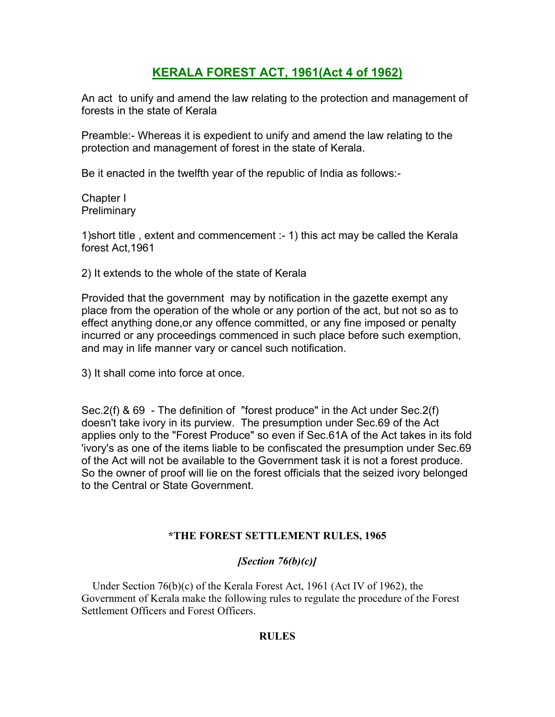# **KERALA FOREST ACT, 1961(Act 4 of 1962)**

An act to unify and amend the law relating to the protection and management of forests in the state of Kerala

Preamble:- Whereas it is expedient to unify and amend the law relating to the protection and management of forest in the state of Kerala.

Be it enacted in the twelfth year of the republic of India as follows:-

Chapter I **Preliminary** 

1)short title , extent and commencement :- 1) this act may be called the Kerala forest Act,1961

2) It extends to the whole of the state of Kerala

Provided that the government may by notification in the gazette exempt any place from the operation of the whole or any portion of the act, but not so as to effect anything done,or any offence committed, or any fine imposed or penalty incurred or any proceedings commenced in such place before such exemption, and may in life manner vary or cancel such notification.

3) It shall come into force at once.

Sec.2(f) & 69 - The definition of "forest produce" in the Act under Sec.2(f) doesn't take ivory in its purview. The presumption under Sec.69 of the Act applies only to the "Forest Produce" so even if Sec.61A of the Act takes in its fold 'ivory's as one of the items liable to be confiscated the presumption under Sec.69 of the Act will not be available to the Government task it is not a forest produce. So the owner of proof will lie on the forest officials that the seized ivory belonged to the Central or State Government.

# **\*THE FOREST SETTLEMENT RULES, 1965**

# *[Section 76(b)(c)]*

 Under Section 76(b)(c) of the Kerala Forest Act, 1961 (Act IV of 1962), the Government of Kerala make the following rules to regulate the procedure of the Forest Settlement Officers and Forest Officers.

#### **RULES**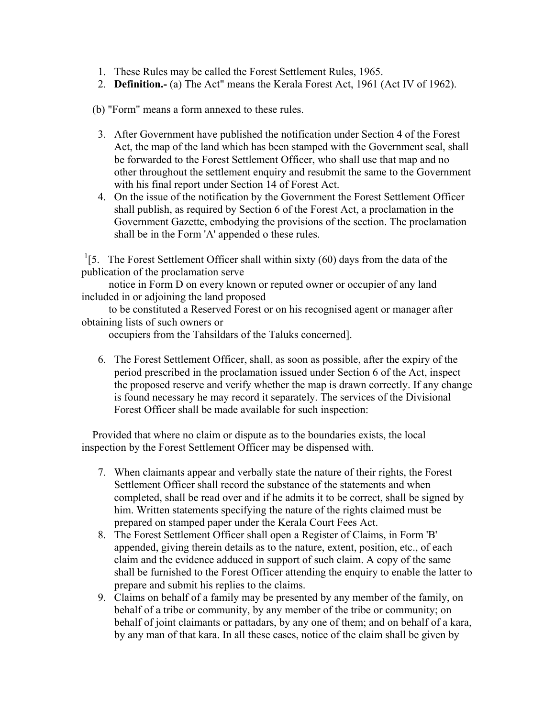- 1. These Rules may be called the Forest Settlement Rules, 1965.
- 2. **Definition.-** (a) The Act" means the Kerala Forest Act, 1961 (Act IV of 1962).

(b) "Form" means a form annexed to these rules.

- 3. After Government have published the notification under Section 4 of the Forest Act, the map of the land which has been stamped with the Government seal, shall be forwarded to the Forest Settlement Officer, who shall use that map and no other throughout the settlement enquiry and resubmit the same to the Government with his final report under Section 14 of Forest Act.
- 4. On the issue of the notification by the Government the Forest Settlement Officer shall publish, as required by Section 6 of the Forest Act, a proclamation in the Government Gazette, embodying the provisions of the section. The proclamation shall be in the Form 'A' appended o these rules.

<sup>1</sup>[5. The Forest Settlement Officer shall within sixty (60) days from the data of the publication of the proclamation serve

 notice in Form D on every known or reputed owner or occupier of any land included in or adjoining the land proposed

 to be constituted a Reserved Forest or on his recognised agent or manager after obtaining lists of such owners or

occupiers from the Tahsildars of the Taluks concerned].

6. The Forest Settlement Officer, shall, as soon as possible, after the expiry of the period prescribed in the proclamation issued under Section 6 of the Act, inspect the proposed reserve and verify whether the map is drawn correctly. If any change is found necessary he may record it separately. The services of the Divisional Forest Officer shall be made available for such inspection:

 Provided that where no claim or dispute as to the boundaries exists, the local inspection by the Forest Settlement Officer may be dispensed with.

- 7. When claimants appear and verbally state the nature of their rights, the Forest Settlement Officer shall record the substance of the statements and when completed, shall be read over and if he admits it to be correct, shall be signed by him. Written statements specifying the nature of the rights claimed must be prepared on stamped paper under the Kerala Court Fees Act.
- 8. The Forest Settlement Officer shall open a Register of Claims, in Form 'B' appended, giving therein details as to the nature, extent, position, etc., of each claim and the evidence adduced in support of such claim. A copy of the same shall be furnished to the Forest Officer attending the enquiry to enable the latter to prepare and submit his replies to the claims.
- 9. Claims on behalf of a family may be presented by any member of the family, on behalf of a tribe or community, by any member of the tribe or community; on behalf of joint claimants or pattadars, by any one of them; and on behalf of a kara, by any man of that kara. In all these cases, notice of the claim shall be given by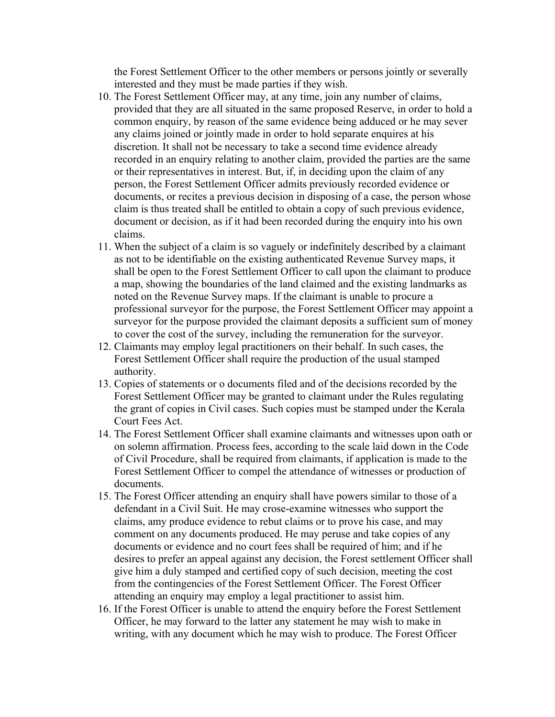the Forest Settlement Officer to the other members or persons jointly or severally interested and they must be made parties if they wish.

- 10. The Forest Settlement Officer may, at any time, join any number of claims, provided that they are all situated in the same proposed Reserve, in order to hold a common enquiry, by reason of the same evidence being adduced or he may sever any claims joined or jointly made in order to hold separate enquires at his discretion. It shall not be necessary to take a second time evidence already recorded in an enquiry relating to another claim, provided the parties are the same or their representatives in interest. But, if, in deciding upon the claim of any person, the Forest Settlement Officer admits previously recorded evidence or documents, or recites a previous decision in disposing of a case, the person whose claim is thus treated shall be entitled to obtain a copy of such previous evidence, document or decision, as if it had been recorded during the enquiry into his own claims.
- 11. When the subject of a claim is so vaguely or indefinitely described by a claimant as not to be identifiable on the existing authenticated Revenue Survey maps, it shall be open to the Forest Settlement Officer to call upon the claimant to produce a map, showing the boundaries of the land claimed and the existing landmarks as noted on the Revenue Survey maps. If the claimant is unable to procure a professional surveyor for the purpose, the Forest Settlement Officer may appoint a surveyor for the purpose provided the claimant deposits a sufficient sum of money to cover the cost of the survey, including the remuneration for the surveyor.
- 12. Claimants may employ legal practitioners on their behalf. In such cases, the Forest Settlement Officer shall require the production of the usual stamped authority.
- 13. Copies of statements or o documents filed and of the decisions recorded by the Forest Settlement Officer may be granted to claimant under the Rules regulating the grant of copies in Civil cases. Such copies must be stamped under the Kerala Court Fees Act.
- 14. The Forest Settlement Officer shall examine claimants and witnesses upon oath or on solemn affirmation. Process fees, according to the scale laid down in the Code of Civil Procedure, shall be required from claimants, if application is made to the Forest Settlement Officer to compel the attendance of witnesses or production of documents.
- 15. The Forest Officer attending an enquiry shall have powers similar to those of a defendant in a Civil Suit. He may crose-examine witnesses who support the claims, amy produce evidence to rebut claims or to prove his case, and may comment on any documents produced. He may peruse and take copies of any documents or evidence and no court fees shall be required of him; and if he desires to prefer an appeal against any decision, the Forest settlement Officer shall give him a duly stamped and certified copy of such decision, meeting the cost from the contingencies of the Forest Settlement Officer. The Forest Officer attending an enquiry may employ a legal practitioner to assist him.
- 16. If the Forest Officer is unable to attend the enquiry before the Forest Settlement Officer, he may forward to the latter any statement he may wish to make in writing, with any document which he may wish to produce. The Forest Officer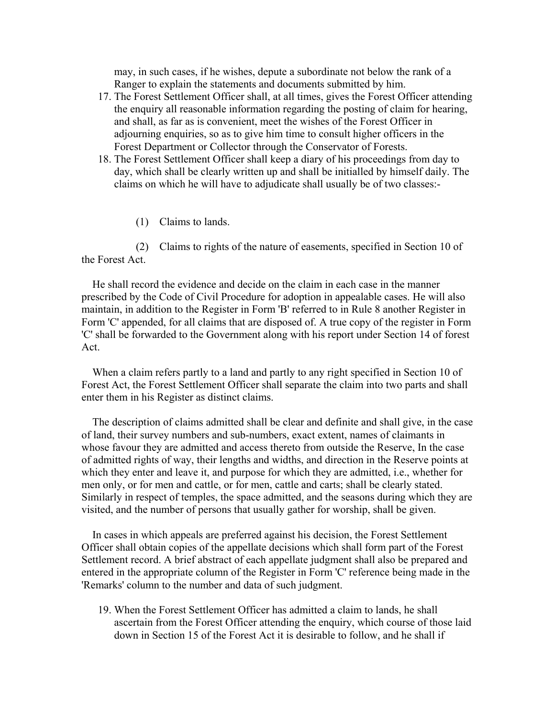may, in such cases, if he wishes, depute a subordinate not below the rank of a Ranger to explain the statements and documents submitted by him.

- 17. The Forest Settlement Officer shall, at all times, gives the Forest Officer attending the enquiry all reasonable information regarding the posting of claim for hearing, and shall, as far as is convenient, meet the wishes of the Forest Officer in adjourning enquiries, so as to give him time to consult higher officers in the Forest Department or Collector through the Conservator of Forests.
- 18. The Forest Settlement Officer shall keep a diary of his proceedings from day to day, which shall be clearly written up and shall be initialled by himself daily. The claims on which he will have to adjudicate shall usually be of two classes:-

(1) Claims to lands.

 (2) Claims to rights of the nature of easements, specified in Section 10 of the Forest Act.

 He shall record the evidence and decide on the claim in each case in the manner prescribed by the Code of Civil Procedure for adoption in appealable cases. He will also maintain, in addition to the Register in Form 'B' referred to in Rule 8 another Register in Form 'C' appended, for all claims that are disposed of. A true copy of the register in Form 'C' shall be forwarded to the Government along with his report under Section 14 of forest Act.

 When a claim refers partly to a land and partly to any right specified in Section 10 of Forest Act, the Forest Settlement Officer shall separate the claim into two parts and shall enter them in his Register as distinct claims.

 The description of claims admitted shall be clear and definite and shall give, in the case of land, their survey numbers and sub-numbers, exact extent, names of claimants in whose favour they are admitted and access thereto from outside the Reserve, In the case of admitted rights of way, their lengths and widths, and direction in the Reserve points at which they enter and leave it, and purpose for which they are admitted, i.e., whether for men only, or for men and cattle, or for men, cattle and carts; shall be clearly stated. Similarly in respect of temples, the space admitted, and the seasons during which they are visited, and the number of persons that usually gather for worship, shall be given.

 In cases in which appeals are preferred against his decision, the Forest Settlement Officer shall obtain copies of the appellate decisions which shall form part of the Forest Settlement record. A brief abstract of each appellate judgment shall also be prepared and entered in the appropriate column of the Register in Form 'C' reference being made in the 'Remarks' column to the number and data of such judgment.

19. When the Forest Settlement Officer has admitted a claim to lands, he shall ascertain from the Forest Officer attending the enquiry, which course of those laid down in Section 15 of the Forest Act it is desirable to follow, and he shall if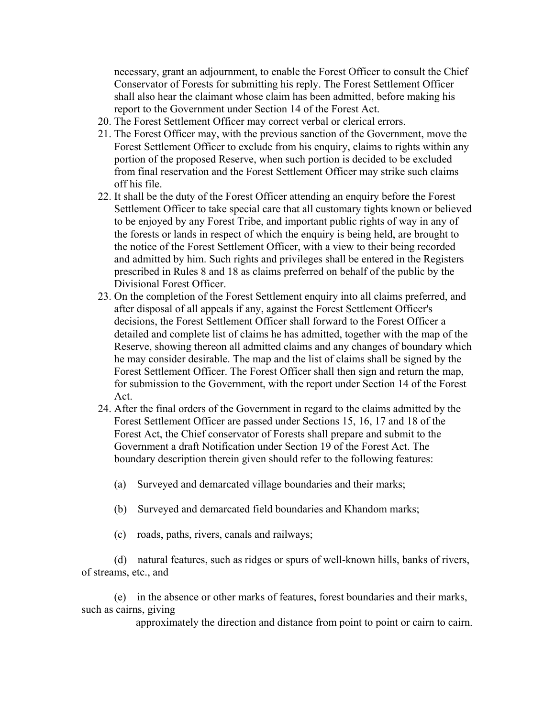necessary, grant an adjournment, to enable the Forest Officer to consult the Chief Conservator of Forests for submitting his reply. The Forest Settlement Officer shall also hear the claimant whose claim has been admitted, before making his report to the Government under Section 14 of the Forest Act.

- 20. The Forest Settlement Officer may correct verbal or clerical errors.
- 21. The Forest Officer may, with the previous sanction of the Government, move the Forest Settlement Officer to exclude from his enquiry, claims to rights within any portion of the proposed Reserve, when such portion is decided to be excluded from final reservation and the Forest Settlement Officer may strike such claims off his file.
- 22. It shall be the duty of the Forest Officer attending an enquiry before the Forest Settlement Officer to take special care that all customary tights known or believed to be enjoyed by any Forest Tribe, and important public rights of way in any of the forests or lands in respect of which the enquiry is being held, are brought to the notice of the Forest Settlement Officer, with a view to their being recorded and admitted by him. Such rights and privileges shall be entered in the Registers prescribed in Rules 8 and 18 as claims preferred on behalf of the public by the Divisional Forest Officer.
- 23. On the completion of the Forest Settlement enquiry into all claims preferred, and after disposal of all appeals if any, against the Forest Settlement Officer's decisions, the Forest Settlement Officer shall forward to the Forest Officer a detailed and complete list of claims he has admitted, together with the map of the Reserve, showing thereon all admitted claims and any changes of boundary which he may consider desirable. The map and the list of claims shall be signed by the Forest Settlement Officer. The Forest Officer shall then sign and return the map, for submission to the Government, with the report under Section 14 of the Forest Act.
- 24. After the final orders of the Government in regard to the claims admitted by the Forest Settlement Officer are passed under Sections 15, 16, 17 and 18 of the Forest Act, the Chief conservator of Forests shall prepare and submit to the Government a draft Notification under Section 19 of the Forest Act. The boundary description therein given should refer to the following features:
	- (a) Surveyed and demarcated village boundaries and their marks;
	- (b) Surveyed and demarcated field boundaries and Khandom marks;
	- (c) roads, paths, rivers, canals and railways;

 (d) natural features, such as ridges or spurs of well-known hills, banks of rivers, of streams, etc., and

 (e) in the absence or other marks of features, forest boundaries and their marks, such as cairns, giving

approximately the direction and distance from point to point or cairn to cairn.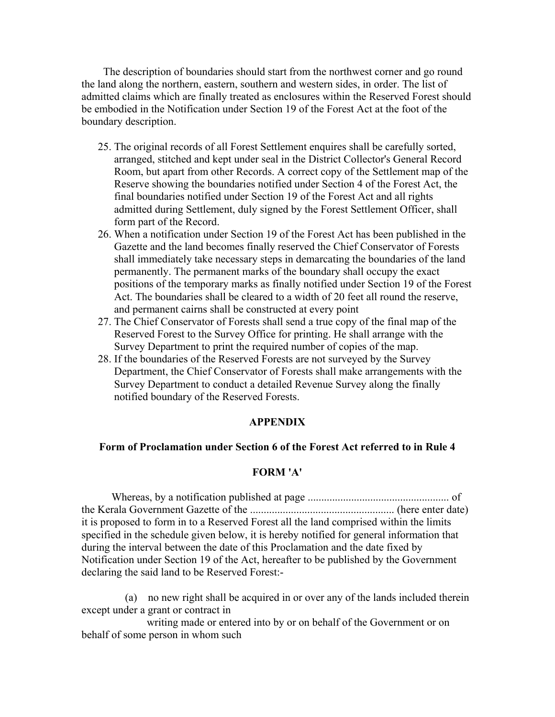The description of boundaries should start from the northwest corner and go round the land along the northern, eastern, southern and western sides, in order. The list of admitted claims which are finally treated as enclosures within the Reserved Forest should be embodied in the Notification under Section 19 of the Forest Act at the foot of the boundary description.

- 25. The original records of all Forest Settlement enquires shall be carefully sorted, arranged, stitched and kept under seal in the District Collector's General Record Room, but apart from other Records. A correct copy of the Settlement map of the Reserve showing the boundaries notified under Section 4 of the Forest Act, the final boundaries notified under Section 19 of the Forest Act and all rights admitted during Settlement, duly signed by the Forest Settlement Officer, shall form part of the Record.
- 26. When a notification under Section 19 of the Forest Act has been published in the Gazette and the land becomes finally reserved the Chief Conservator of Forests shall immediately take necessary steps in demarcating the boundaries of the land permanently. The permanent marks of the boundary shall occupy the exact positions of the temporary marks as finally notified under Section 19 of the Forest Act. The boundaries shall be cleared to a width of 20 feet all round the reserve, and permanent cairns shall be constructed at every point
- 27. The Chief Conservator of Forests shall send a true copy of the final map of the Reserved Forest to the Survey Office for printing. He shall arrange with the Survey Department to print the required number of copies of the map.
- 28. If the boundaries of the Reserved Forests are not surveyed by the Survey Department, the Chief Conservator of Forests shall make arrangements with the Survey Department to conduct a detailed Revenue Survey along the finally notified boundary of the Reserved Forests.

#### **APPENDIX**

#### **Form of Proclamation under Section 6 of the Forest Act referred to in Rule 4**

#### **FORM 'A'**

 Whereas, by a notification published at page .................................................... of the Kerala Government Gazette of the ..................................................... (here enter date) it is proposed to form in to a Reserved Forest all the land comprised within the limits specified in the schedule given below, it is hereby notified for general information that during the interval between the date of this Proclamation and the date fixed by Notification under Section 19 of the Act, hereafter to be published by the Government declaring the said land to be Reserved Forest:-

 (a) no new right shall be acquired in or over any of the lands included therein except under a grant or contract in

 writing made or entered into by or on behalf of the Government or on behalf of some person in whom such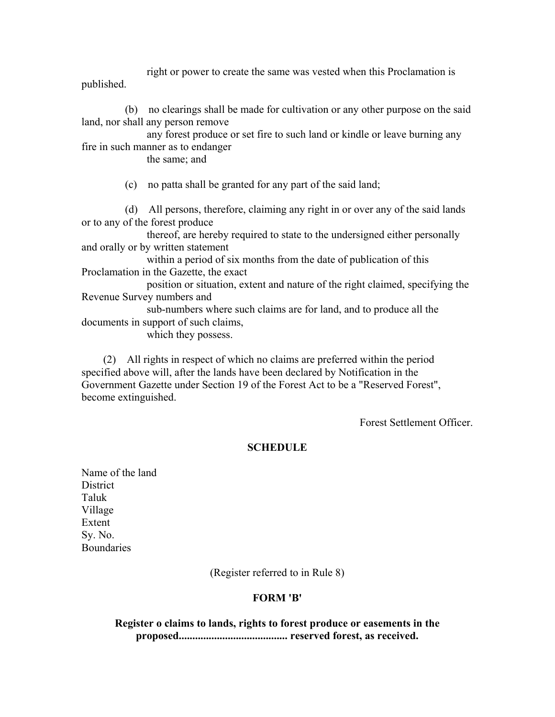right or power to create the same was vested when this Proclamation is published.

 (b) no clearings shall be made for cultivation or any other purpose on the said land, nor shall any person remove

 any forest produce or set fire to such land or kindle or leave burning any fire in such manner as to endanger

the same; and

(c) no patta shall be granted for any part of the said land;

 (d) All persons, therefore, claiming any right in or over any of the said lands or to any of the forest produce

 thereof, are hereby required to state to the undersigned either personally and orally or by written statement

 within a period of six months from the date of publication of this Proclamation in the Gazette, the exact

 position or situation, extent and nature of the right claimed, specifying the Revenue Survey numbers and

 sub-numbers where such claims are for land, and to produce all the documents in support of such claims,

which they possess.

 (2) All rights in respect of which no claims are preferred within the period specified above will, after the lands have been declared by Notification in the Government Gazette under Section 19 of the Forest Act to be a "Reserved Forest", become extinguished.

Forest Settlement Officer.

# **SCHEDULE**

Name of the land **District** Taluk Village Extent Sy. No. **Boundaries** 

(Register referred to in Rule 8)

# **FORM 'B'**

**Register o claims to lands, rights to forest produce or easements in the proposed........................................ reserved forest, as received.**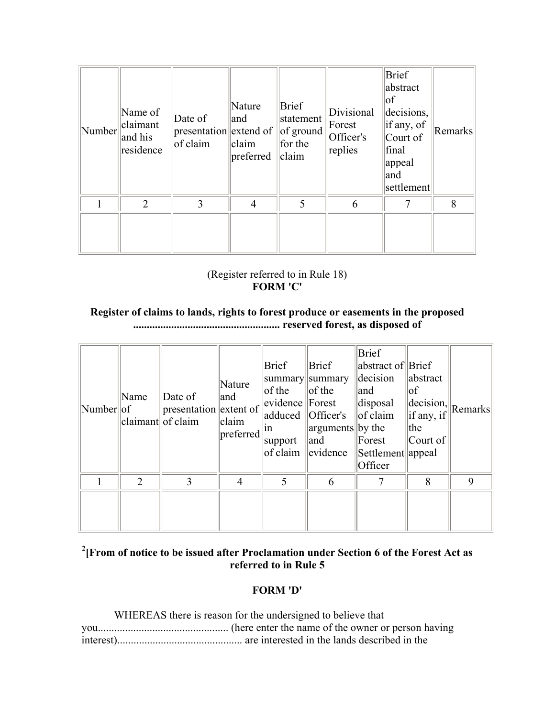| Number | Name of<br>claimant<br>and his<br>residence | Date of<br>presentation extend of<br>of claim | Nature<br>and<br>claim<br>preferred | <b>Brief</b><br>statement<br>of ground<br>for the<br>claim | Divisional<br>Forest<br>Officer's<br>replies | Brief<br>abstract<br> of<br>decisions,<br>if any, of<br>Court of<br>final<br>appeal<br>and<br>settlement | Remarks |
|--------|---------------------------------------------|-----------------------------------------------|-------------------------------------|------------------------------------------------------------|----------------------------------------------|----------------------------------------------------------------------------------------------------------|---------|
|        | $\overline{2}$                              | 3                                             | $\overline{4}$                      | 5                                                          | 6                                            | 7                                                                                                        | 8       |
|        |                                             |                                               |                                     |                                                            |                                              |                                                                                                          |         |

# (Register referred to in Rule 18) **FORM 'C'**

### **Register of claims to lands, rights to forest produce or easements in the proposed ...................................................... reserved forest, as disposed of**

| Number of | Name<br>$ $ claimant $ $ of claim | $\Delta$ Date of<br>presentation extent of | Nature<br>and<br>claim<br>preferred | Brief<br> of the<br>$ $ evidence $ $ Forest<br>adduced   Officer's<br> 1n <br>support<br>of claim | Brief<br>summary summary<br>$\log$ the<br>arguments by the<br>and<br>evidence | <b>Brief</b><br>abstract of Brief<br>decision<br>and<br>disposal<br>of claim<br>Forest<br>Settlement appeal<br>Officer | abstract<br> of<br>$\left\Vert \text{decision},\right\Vert _{\text{Remarks}}$<br>$\left  \text{if any, if} \right $<br>the<br>Court of |             |
|-----------|-----------------------------------|--------------------------------------------|-------------------------------------|---------------------------------------------------------------------------------------------------|-------------------------------------------------------------------------------|------------------------------------------------------------------------------------------------------------------------|----------------------------------------------------------------------------------------------------------------------------------------|-------------|
|           | $\overline{2}$                    | 3                                          | 4                                   |                                                                                                   | 6                                                                             | $\tau$                                                                                                                 | 8                                                                                                                                      | $\mathbf Q$ |
|           |                                   |                                            |                                     |                                                                                                   |                                                                               |                                                                                                                        |                                                                                                                                        |             |

# **2 [From of notice to be issued after Proclamation under Section 6 of the Forest Act as referred to in Rule 5**

# **FORM 'D'**

| WHEREAS there is reason for the undersigned to believe that |
|-------------------------------------------------------------|
|                                                             |
|                                                             |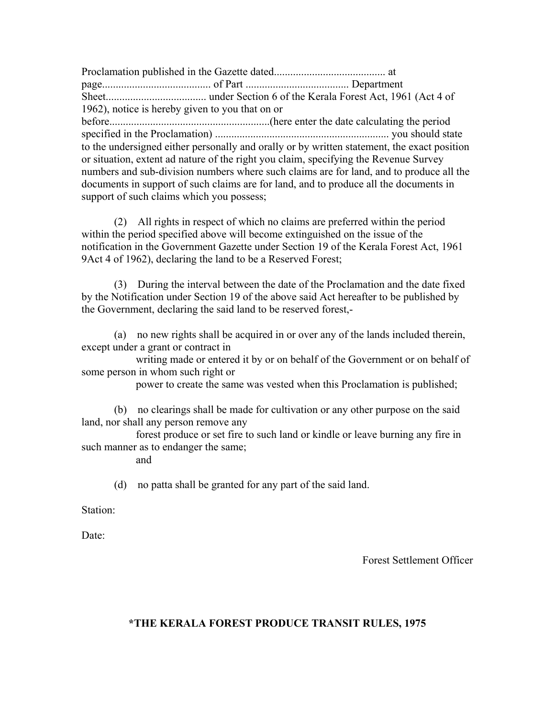Proclamation published in the Gazette dated......................................... at page........................................ of Part ...................................... Department Sheet..................................... under Section 6 of the Kerala Forest Act, 1961 (Act 4 of 1962), notice is hereby given to you that on or before...........................................................(here enter the date calculating the period specified in the Proclamation) ................................................................ you should state to the undersigned either personally and orally or by written statement, the exact position or situation, extent ad nature of the right you claim, specifying the Revenue Survey numbers and sub-division numbers where such claims are for land, and to produce all the documents in support of such claims are for land, and to produce all the documents in support of such claims which you possess;

 (2) All rights in respect of which no claims are preferred within the period within the period specified above will become extinguished on the issue of the notification in the Government Gazette under Section 19 of the Kerala Forest Act, 1961 9Act 4 of 1962), declaring the land to be a Reserved Forest;

 (3) During the interval between the date of the Proclamation and the date fixed by the Notification under Section 19 of the above said Act hereafter to be published by the Government, declaring the said land to be reserved forest,-

 (a) no new rights shall be acquired in or over any of the lands included therein, except under a grant or contract in

 writing made or entered it by or on behalf of the Government or on behalf of some person in whom such right or

power to create the same was vested when this Proclamation is published;

 (b) no clearings shall be made for cultivation or any other purpose on the said land, nor shall any person remove any

 forest produce or set fire to such land or kindle or leave burning any fire in such manner as to endanger the same;

and

(d) no patta shall be granted for any part of the said land.

Station:

Date<sup>-</sup>

Forest Settlement Officer

# **\*THE KERALA FOREST PRODUCE TRANSIT RULES, 1975**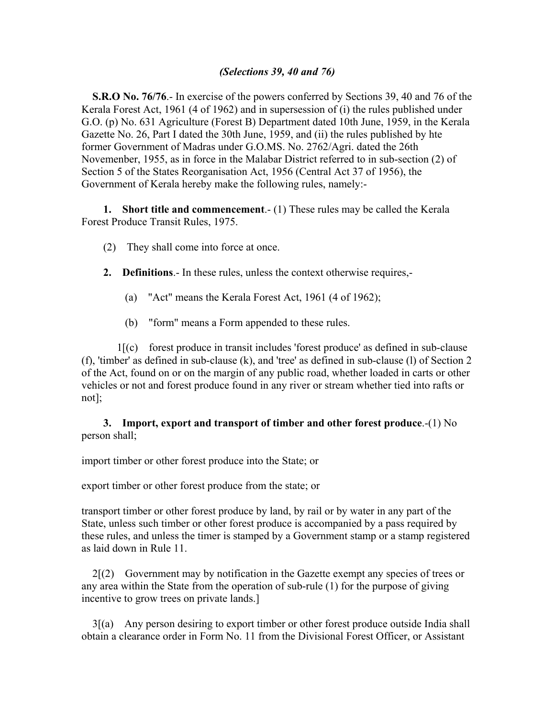#### *(Selections 39, 40 and 76)*

 **S.R.O No. 76/76**.- In exercise of the powers conferred by Sections 39, 40 and 76 of the Kerala Forest Act, 1961 (4 of 1962) and in supersession of (i) the rules published under G.O. (p) No. 631 Agriculture (Forest B) Department dated 10th June, 1959, in the Kerala Gazette No. 26, Part I dated the 30th June, 1959, and (ii) the rules published by hte former Government of Madras under G.O.MS. No. 2762/Agri. dated the 26th Novemenber, 1955, as in force in the Malabar District referred to in sub-section (2) of Section 5 of the States Reorganisation Act, 1956 (Central Act 37 of 1956), the Government of Kerala hereby make the following rules, namely:-

 **1. Short title and commencement**.- (1) These rules may be called the Kerala Forest Produce Transit Rules, 1975.

- (2) They shall come into force at once.
- **2. Definitions**.- In these rules, unless the context otherwise requires,-
	- (a) "Act" means the Kerala Forest Act, 1961 (4 of 1962);
	- (b) "form" means a Form appended to these rules.

 1[(c) forest produce in transit includes 'forest produce' as defined in sub-clause (f), 'timber' as defined in sub-clause (k), and 'tree' as defined in sub-clause (l) of Section 2 of the Act, found on or on the margin of any public road, whether loaded in carts or other vehicles or not and forest produce found in any river or stream whether tied into rafts or not];

#### **3. Import, export and transport of timber and other forest produce**.-(1) No person shall;

import timber or other forest produce into the State; or

export timber or other forest produce from the state; or

transport timber or other forest produce by land, by rail or by water in any part of the State, unless such timber or other forest produce is accompanied by a pass required by these rules, and unless the timer is stamped by a Government stamp or a stamp registered as laid down in Rule 11.

 $2\left[\frac{2}{2}\right]$  Government may by notification in the Gazette exempt any species of trees or any area within the State from the operation of sub-rule (1) for the purpose of giving incentive to grow trees on private lands.]

 3[(a) Any person desiring to export timber or other forest produce outside India shall obtain a clearance order in Form No. 11 from the Divisional Forest Officer, or Assistant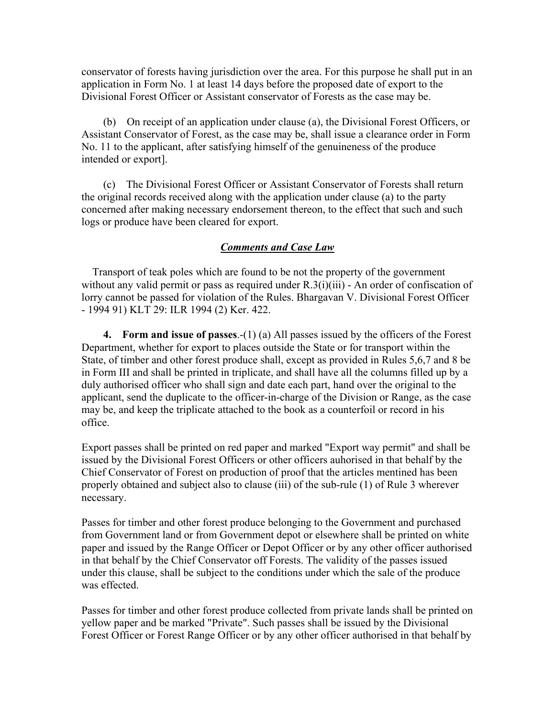conservator of forests having jurisdiction over the area. For this purpose he shall put in an application in Form No. 1 at least 14 days before the proposed date of export to the Divisional Forest Officer or Assistant conservator of Forests as the case may be.

 (b) On receipt of an application under clause (a), the Divisional Forest Officers, or Assistant Conservator of Forest, as the case may be, shall issue a clearance order in Form No. 11 to the applicant, after satisfying himself of the genuineness of the produce intended or export].

 (c) The Divisional Forest Officer or Assistant Conservator of Forests shall return the original records received along with the application under clause (a) to the party concerned after making necessary endorsement thereon, to the effect that such and such logs or produce have been cleared for export.

# *Comments and Case Law*

 Transport of teak poles which are found to be not the property of the government without any valid permit or pass as required under R.3(i)(iii) - An order of confiscation of lorry cannot be passed for violation of the Rules. Bhargavan V. Divisional Forest Officer - 1994 91) KLT 29: ILR 1994 (2) Ker. 422.

 **4. Form and issue of passes**.-(1) (a) All passes issued by the officers of the Forest Department, whether for export to places outside the State or for transport within the State, of timber and other forest produce shall, except as provided in Rules 5,6,7 and 8 be in Form III and shall be printed in triplicate, and shall have all the columns filled up by a duly authorised officer who shall sign and date each part, hand over the original to the applicant, send the duplicate to the officer-in-charge of the Division or Range, as the case may be, and keep the triplicate attached to the book as a counterfoil or record in his office.

Export passes shall be printed on red paper and marked "Export way permit" and shall be issued by the Divisional Forest Officers or other officers auhorised in that behalf by the Chief Conservator of Forest on production of proof that the articles mentined has been properly obtained and subject also to clause (iii) of the sub-rule (1) of Rule 3 wherever necessary.

Passes for timber and other forest produce belonging to the Government and purchased from Government land or from Government depot or elsewhere shall be printed on white paper and issued by the Range Officer or Depot Officer or by any other officer authorised in that behalf by the Chief Conservator off Forests. The validity of the passes issued under this clause, shall be subject to the conditions under which the sale of the produce was effected.

Passes for timber and other forest produce collected from private lands shall be printed on yellow paper and be marked "Private". Such passes shall be issued by the Divisional Forest Officer or Forest Range Officer or by any other officer authorised in that behalf by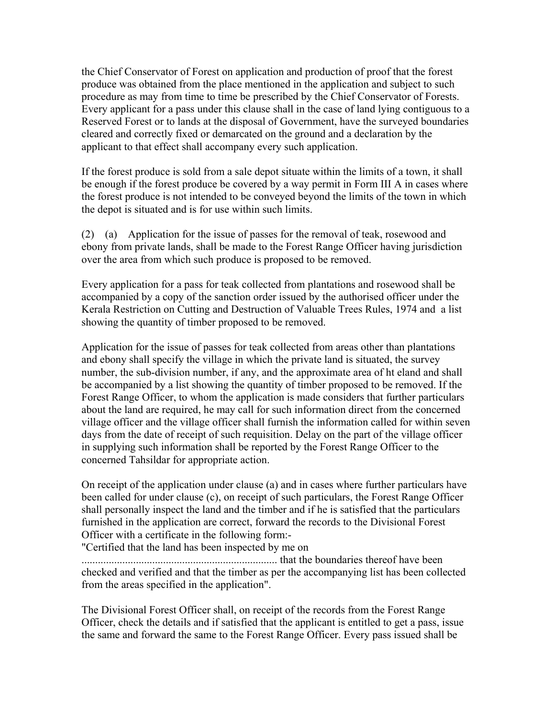the Chief Conservator of Forest on application and production of proof that the forest produce was obtained from the place mentioned in the application and subject to such procedure as may from time to time be prescribed by the Chief Conservator of Forests. Every applicant for a pass under this clause shall in the case of land lying contiguous to a Reserved Forest or to lands at the disposal of Government, have the surveyed boundaries cleared and correctly fixed or demarcated on the ground and a declaration by the applicant to that effect shall accompany every such application.

If the forest produce is sold from a sale depot situate within the limits of a town, it shall be enough if the forest produce be covered by a way permit in Form III A in cases where the forest produce is not intended to be conveyed beyond the limits of the town in which the depot is situated and is for use within such limits.

(2) (a) Application for the issue of passes for the removal of teak, rosewood and ebony from private lands, shall be made to the Forest Range Officer having jurisdiction over the area from which such produce is proposed to be removed.

Every application for a pass for teak collected from plantations and rosewood shall be accompanied by a copy of the sanction order issued by the authorised officer under the Kerala Restriction on Cutting and Destruction of Valuable Trees Rules, 1974 and a list showing the quantity of timber proposed to be removed.

Application for the issue of passes for teak collected from areas other than plantations and ebony shall specify the village in which the private land is situated, the survey number, the sub-division number, if any, and the approximate area of ht eland and shall be accompanied by a list showing the quantity of timber proposed to be removed. If the Forest Range Officer, to whom the application is made considers that further particulars about the land are required, he may call for such information direct from the concerned village officer and the village officer shall furnish the information called for within seven days from the date of receipt of such requisition. Delay on the part of the village officer in supplying such information shall be reported by the Forest Range Officer to the concerned Tahsildar for appropriate action.

On receipt of the application under clause (a) and in cases where further particulars have been called for under clause (c), on receipt of such particulars, the Forest Range Officer shall personally inspect the land and the timber and if he is satisfied that the particulars furnished in the application are correct, forward the records to the Divisional Forest Officer with a certificate in the following form:-

"Certified that the land has been inspected by me on

........................................................................ that the boundaries thereof have been checked and verified and that the timber as per the accompanying list has been collected from the areas specified in the application".

The Divisional Forest Officer shall, on receipt of the records from the Forest Range Officer, check the details and if satisfied that the applicant is entitled to get a pass, issue the same and forward the same to the Forest Range Officer. Every pass issued shall be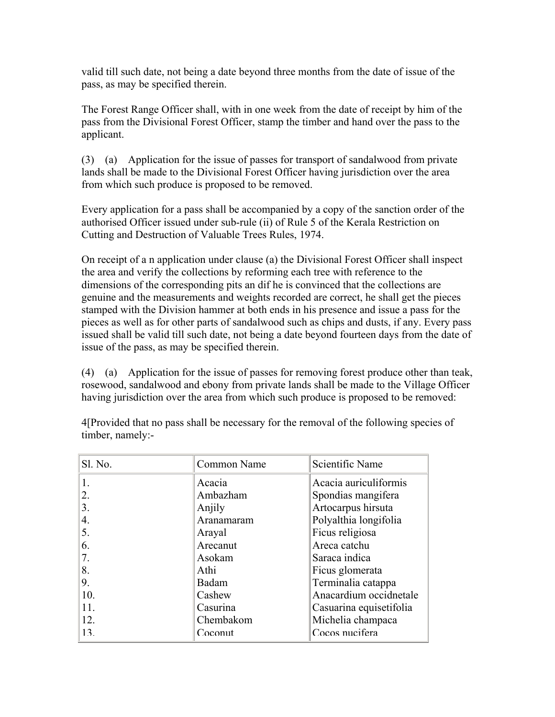valid till such date, not being a date beyond three months from the date of issue of the pass, as may be specified therein.

The Forest Range Officer shall, with in one week from the date of receipt by him of the pass from the Divisional Forest Officer, stamp the timber and hand over the pass to the applicant.

(3) (a) Application for the issue of passes for transport of sandalwood from private lands shall be made to the Divisional Forest Officer having jurisdiction over the area from which such produce is proposed to be removed.

Every application for a pass shall be accompanied by a copy of the sanction order of the authorised Officer issued under sub-rule (ii) of Rule 5 of the Kerala Restriction on Cutting and Destruction of Valuable Trees Rules, 1974.

On receipt of a n application under clause (a) the Divisional Forest Officer shall inspect the area and verify the collections by reforming each tree with reference to the dimensions of the corresponding pits an dif he is convinced that the collections are genuine and the measurements and weights recorded are correct, he shall get the pieces stamped with the Division hammer at both ends in his presence and issue a pass for the pieces as well as for other parts of sandalwood such as chips and dusts, if any. Every pass issued shall be valid till such date, not being a date beyond fourteen days from the date of issue of the pass, as may be specified therein.

(4) (a) Application for the issue of passes for removing forest produce other than teak, rosewood, sandalwood and ebony from private lands shall be made to the Village Officer having jurisdiction over the area from which such produce is proposed to be removed:

| Sl. No. | Common Name | Scientific Name         |
|---------|-------------|-------------------------|
|         | Acacia      | Acacia auriculiformis   |
| 2.      | Ambazham    | Spondias mangifera      |
| 3.      | Anjily      | Artocarpus hirsuta      |
| 4.      | Aranamaram  | Polyalthia longifolia   |
| 5.      | Arayal      | Ficus religiosa         |
| 6.      | Arecanut    | Areca catchu            |
|         | Asokam      | Saraca indica           |
| 8.      | Athi        | Ficus glomerata         |
| 9.      | Badam       | Terminalia catappa      |
| 10.     | Cashew      | Anacardium occidnetale  |
| 11.     | Casurina    | Casuarina equisetifolia |
| 12.     | Chembakom   | Michelia champaca       |
| 13.     | Coconut     | Cocos nucifera          |

4[Provided that no pass shall be necessary for the removal of the following species of timber, namely:-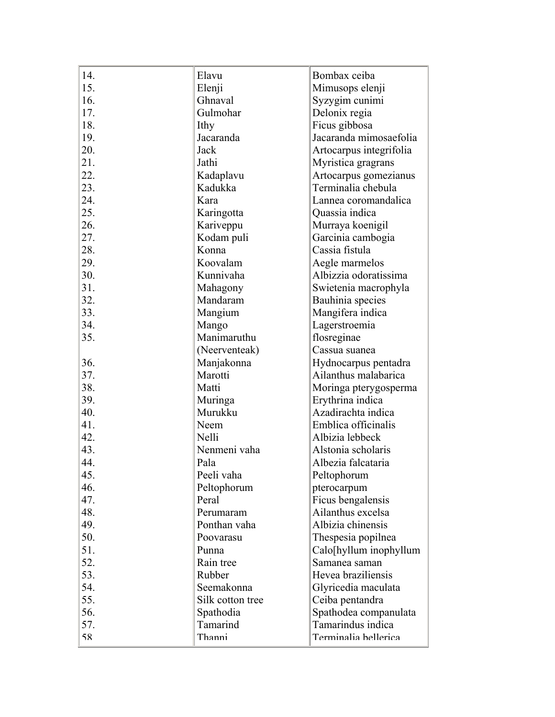| 14. | Elavu            | Bombax ceiba            |
|-----|------------------|-------------------------|
| 15. | Elenji           | Mimusops elenji         |
| 16. | Ghnaval          | Syzygim cunimi          |
| 17. | Gulmohar         | Delonix regia           |
| 18. | Ithy             | Ficus gibbosa           |
| 19. | Jacaranda        | Jacaranda mimosaefolia  |
| 20. | Jack             | Artocarpus integrifolia |
| 21. | Jathi            | Myristica gragrans      |
| 22. |                  |                         |
| 23. | Kadaplavu        | Artocarpus gomezianus   |
| 24. | Kadukka<br>Kara  | Terminalia chebula      |
|     |                  | Lannea coromandalica    |
| 25. | Karingotta       | Quassia indica          |
| 26. | Kariveppu        | Murraya koenigil        |
| 27. | Kodam puli       | Garcinia cambogia       |
| 28. | Konna            | Cassia fistula          |
| 29. | Koovalam         | Aegle marmelos          |
| 30. | Kunnivaha        | Albizzia odoratissima   |
| 31. | Mahagony         | Swietenia macrophyla    |
| 32. | Mandaram         | Bauhinia species        |
| 33. | Mangium          | Mangifera indica        |
| 34. | Mango            | Lagerstroemia           |
| 35. | Manimaruthu      | flosreginae             |
|     | (Neerventeak)    | Cassua suanea           |
| 36. | Manjakonna       | Hydnocarpus pentadra    |
| 37. | Marotti          | Ailanthus malabarica    |
| 38. | Matti            | Moringa pterygosperma   |
| 39. | Muringa          | Erythrina indica        |
| 40. | Murukku          | Azadirachta indica      |
| 41. | Neem             | Emblica officinalis     |
| 42. | Nelli            | Albizia lebbeck         |
| 43. | Nenmeni vaha     | Alstonia scholaris      |
| 44. | Pala             | Albezia falcataria      |
| 45. | Peeli vaha       | Peltophorum             |
| 46. | Peltophorum      | pterocarpum             |
| 47. | Peral            | Ficus bengalensis       |
| 48. | Perumaram        | Ailanthus excelsa       |
| 49. | Ponthan vaha     | Albizia chinensis       |
| 50. | Poovarasu        | Thespesia popilnea      |
| 51. | Punna            | Calo[hyllum inophyllum  |
| 52. | Rain tree        | Samanea saman           |
| 53. | Rubber           | Hevea braziliensis      |
| 54. | Seemakonna       | Glyricedia maculata     |
| 55. | Silk cotton tree | Ceiba pentandra         |
| 56. | Spathodia        | Spathodea companulata   |
| 57. | Tamarind         | Tamarindus indica       |
| 58  | Thanni           | Terminalia hellerica    |
|     |                  |                         |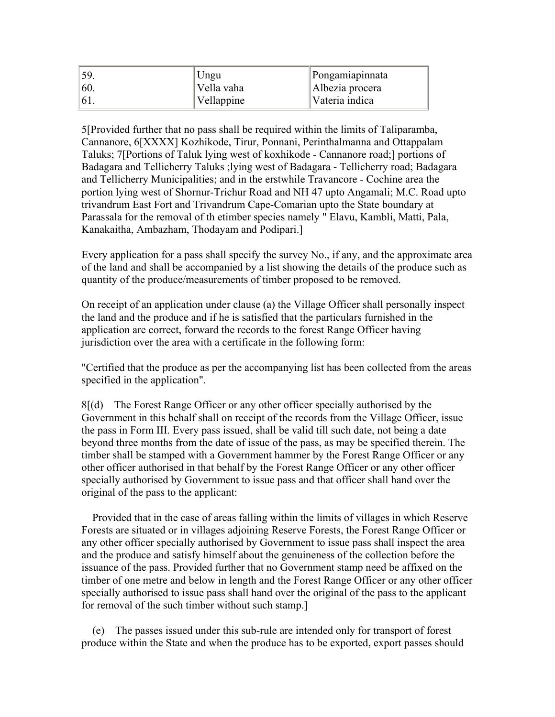|                | Ungu       | Pongamiapinnata |
|----------------|------------|-----------------|
| $\frac{1}{60}$ | Vella vaha | Albezia procera |
| $^{16}$ .      | Vellappine | Vateria indica  |

5[Provided further that no pass shall be required within the limits of Taliparamba, Cannanore, 6[XXXX] Kozhikode, Tirur, Ponnani, Perinthalmanna and Ottappalam Taluks; 7[Portions of Taluk lying west of koxhikode - Cannanore road;] portions of Badagara and Tellicherry Taluks ;lying west of Badagara - Tellicherry road; Badagara and Tellicherry Municipalities; and in the erstwhile Travancore - Cochine area the portion lying west of Shornur-Trichur Road and NH 47 upto Angamali; M.C. Road upto trivandrum East Fort and Trivandrum Cape-Comarian upto the State boundary at Parassala for the removal of th etimber species namely " Elavu, Kambli, Matti, Pala, Kanakaitha, Ambazham, Thodayam and Podipari.]

Every application for a pass shall specify the survey No., if any, and the approximate area of the land and shall be accompanied by a list showing the details of the produce such as quantity of the produce/measurements of timber proposed to be removed.

On receipt of an application under clause (a) the Village Officer shall personally inspect the land and the produce and if he is satisfied that the particulars furnished in the application are correct, forward the records to the forest Range Officer having jurisdiction over the area with a certificate in the following form:

"Certified that the produce as per the accompanying list has been collected from the areas specified in the application".

8[(d) The Forest Range Officer or any other officer specially authorised by the Government in this behalf shall on receipt of the records from the Village Officer, issue the pass in Form III. Every pass issued, shall be valid till such date, not being a date beyond three months from the date of issue of the pass, as may be specified therein. The timber shall be stamped with a Government hammer by the Forest Range Officer or any other officer authorised in that behalf by the Forest Range Officer or any other officer specially authorised by Government to issue pass and that officer shall hand over the original of the pass to the applicant:

 Provided that in the case of areas falling within the limits of villages in which Reserve Forests are situated or in villages adjoining Reserve Forests, the Forest Range Officer or any other officer specially authorised by Government to issue pass shall inspect the area and the produce and satisfy himself about the genuineness of the collection before the issuance of the pass. Provided further that no Government stamp need be affixed on the timber of one metre and below in length and the Forest Range Officer or any other officer specially authorised to issue pass shall hand over the original of the pass to the applicant for removal of the such timber without such stamp.]

 (e) The passes issued under this sub-rule are intended only for transport of forest produce within the State and when the produce has to be exported, export passes should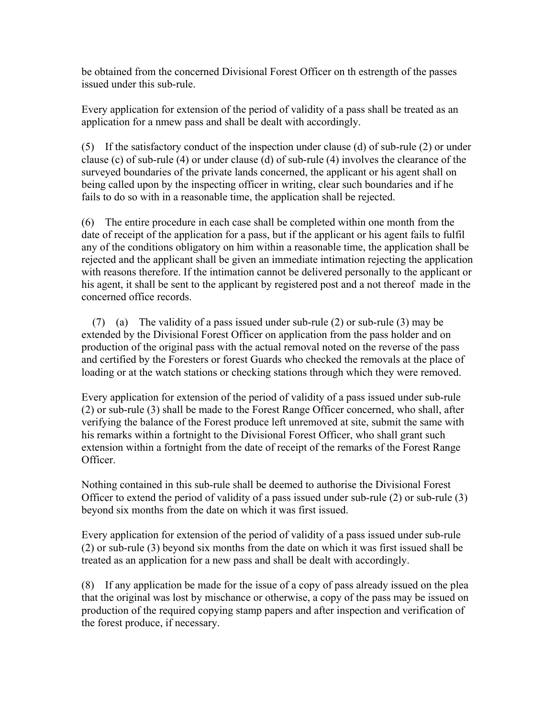be obtained from the concerned Divisional Forest Officer on th estrength of the passes issued under this sub-rule.

Every application for extension of the period of validity of a pass shall be treated as an application for a nmew pass and shall be dealt with accordingly.

(5) If the satisfactory conduct of the inspection under clause (d) of sub-rule (2) or under clause (c) of sub-rule (4) or under clause (d) of sub-rule (4) involves the clearance of the surveyed boundaries of the private lands concerned, the applicant or his agent shall on being called upon by the inspecting officer in writing, clear such boundaries and if he fails to do so with in a reasonable time, the application shall be rejected.

(6) The entire procedure in each case shall be completed within one month from the date of receipt of the application for a pass, but if the applicant or his agent fails to fulfil any of the conditions obligatory on him within a reasonable time, the application shall be rejected and the applicant shall be given an immediate intimation rejecting the application with reasons therefore. If the intimation cannot be delivered personally to the applicant or his agent, it shall be sent to the applicant by registered post and a not thereof made in the concerned office records.

 (7) (a) The validity of a pass issued under sub-rule (2) or sub-rule (3) may be extended by the Divisional Forest Officer on application from the pass holder and on production of the original pass with the actual removal noted on the reverse of the pass and certified by the Foresters or forest Guards who checked the removals at the place of loading or at the watch stations or checking stations through which they were removed.

Every application for extension of the period of validity of a pass issued under sub-rule (2) or sub-rule (3) shall be made to the Forest Range Officer concerned, who shall, after verifying the balance of the Forest produce left unremoved at site, submit the same with his remarks within a fortnight to the Divisional Forest Officer, who shall grant such extension within a fortnight from the date of receipt of the remarks of the Forest Range Officer.

Nothing contained in this sub-rule shall be deemed to authorise the Divisional Forest Officer to extend the period of validity of a pass issued under sub-rule (2) or sub-rule (3) beyond six months from the date on which it was first issued.

Every application for extension of the period of validity of a pass issued under sub-rule (2) or sub-rule (3) beyond six months from the date on which it was first issued shall be treated as an application for a new pass and shall be dealt with accordingly.

(8) If any application be made for the issue of a copy of pass already issued on the plea that the original was lost by mischance or otherwise, a copy of the pass may be issued on production of the required copying stamp papers and after inspection and verification of the forest produce, if necessary.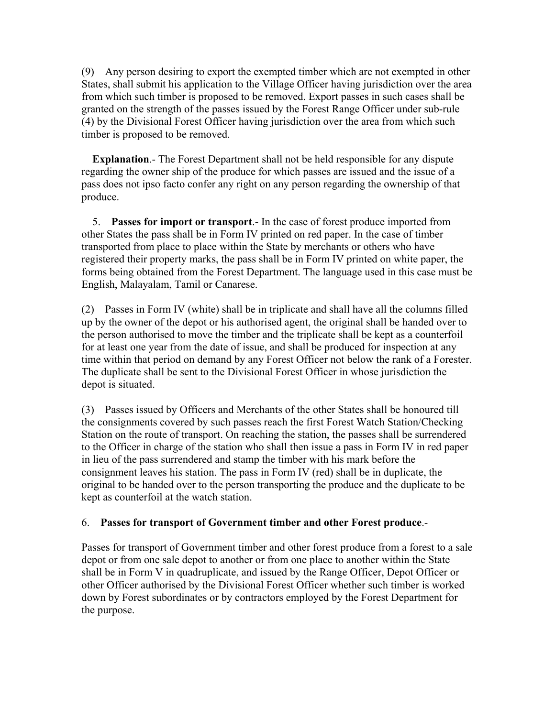(9) Any person desiring to export the exempted timber which are not exempted in other States, shall submit his application to the Village Officer having jurisdiction over the area from which such timber is proposed to be removed. Export passes in such cases shall be granted on the strength of the passes issued by the Forest Range Officer under sub-rule (4) by the Divisional Forest Officer having jurisdiction over the area from which such timber is proposed to be removed.

 **Explanation**.- The Forest Department shall not be held responsible for any dispute regarding the owner ship of the produce for which passes are issued and the issue of a pass does not ipso facto confer any right on any person regarding the ownership of that produce.

 5. **Passes for import or transport**.- In the case of forest produce imported from other States the pass shall be in Form IV printed on red paper. In the case of timber transported from place to place within the State by merchants or others who have registered their property marks, the pass shall be in Form IV printed on white paper, the forms being obtained from the Forest Department. The language used in this case must be English, Malayalam, Tamil or Canarese.

(2) Passes in Form IV (white) shall be in triplicate and shall have all the columns filled up by the owner of the depot or his authorised agent, the original shall be handed over to the person authorised to move the timber and the triplicate shall be kept as a counterfoil for at least one year from the date of issue, and shall be produced for inspection at any time within that period on demand by any Forest Officer not below the rank of a Forester. The duplicate shall be sent to the Divisional Forest Officer in whose jurisdiction the depot is situated.

(3) Passes issued by Officers and Merchants of the other States shall be honoured till the consignments covered by such passes reach the first Forest Watch Station/Checking Station on the route of transport. On reaching the station, the passes shall be surrendered to the Officer in charge of the station who shall then issue a pass in Form IV in red paper in lieu of the pass surrendered and stamp the timber with his mark before the consignment leaves his station. The pass in Form IV (red) shall be in duplicate, the original to be handed over to the person transporting the produce and the duplicate to be kept as counterfoil at the watch station.

# 6. **Passes for transport of Government timber and other Forest produce**.-

Passes for transport of Government timber and other forest produce from a forest to a sale depot or from one sale depot to another or from one place to another within the State shall be in Form V in quadruplicate, and issued by the Range Officer, Depot Officer or other Officer authorised by the Divisional Forest Officer whether such timber is worked down by Forest subordinates or by contractors employed by the Forest Department for the purpose.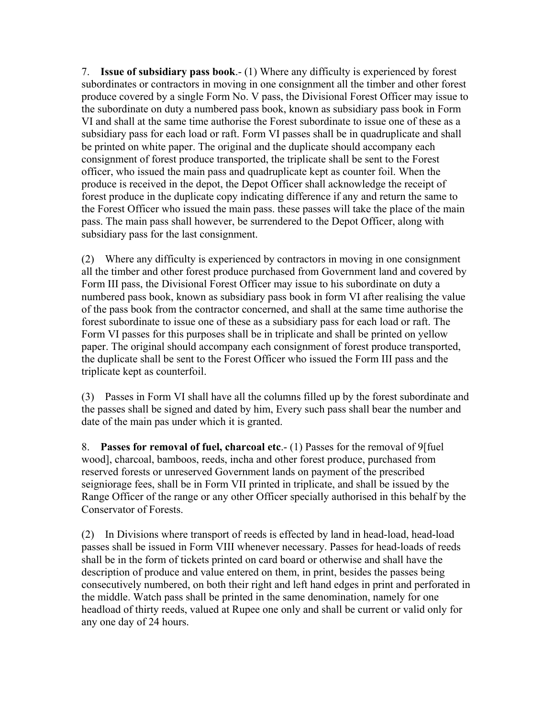7. **Issue of subsidiary pass book**.- (1) Where any difficulty is experienced by forest subordinates or contractors in moving in one consignment all the timber and other forest produce covered by a single Form No. V pass, the Divisional Forest Officer may issue to the subordinate on duty a numbered pass book, known as subsidiary pass book in Form VI and shall at the same time authorise the Forest subordinate to issue one of these as a subsidiary pass for each load or raft. Form VI passes shall be in quadruplicate and shall be printed on white paper. The original and the duplicate should accompany each consignment of forest produce transported, the triplicate shall be sent to the Forest officer, who issued the main pass and quadruplicate kept as counter foil. When the produce is received in the depot, the Depot Officer shall acknowledge the receipt of forest produce in the duplicate copy indicating difference if any and return the same to the Forest Officer who issued the main pass. these passes will take the place of the main pass. The main pass shall however, be surrendered to the Depot Officer, along with subsidiary pass for the last consignment.

(2) Where any difficulty is experienced by contractors in moving in one consignment all the timber and other forest produce purchased from Government land and covered by Form III pass, the Divisional Forest Officer may issue to his subordinate on duty a numbered pass book, known as subsidiary pass book in form VI after realising the value of the pass book from the contractor concerned, and shall at the same time authorise the forest subordinate to issue one of these as a subsidiary pass for each load or raft. The Form VI passes for this purposes shall be in triplicate and shall be printed on yellow paper. The original should accompany each consignment of forest produce transported, the duplicate shall be sent to the Forest Officer who issued the Form III pass and the triplicate kept as counterfoil.

(3) Passes in Form VI shall have all the columns filled up by the forest subordinate and the passes shall be signed and dated by him, Every such pass shall bear the number and date of the main pas under which it is granted.

8. **Passes for removal of fuel, charcoal etc**.- (1) Passes for the removal of 9[fuel wood], charcoal, bamboos, reeds, incha and other forest produce, purchased from reserved forests or unreserved Government lands on payment of the prescribed seigniorage fees, shall be in Form VII printed in triplicate, and shall be issued by the Range Officer of the range or any other Officer specially authorised in this behalf by the Conservator of Forests.

(2) In Divisions where transport of reeds is effected by land in head-load, head-load passes shall be issued in Form VIII whenever necessary. Passes for head-loads of reeds shall be in the form of tickets printed on card board or otherwise and shall have the description of produce and value entered on them, in print, besides the passes being consecutively numbered, on both their right and left hand edges in print and perforated in the middle. Watch pass shall be printed in the same denomination, namely for one headload of thirty reeds, valued at Rupee one only and shall be current or valid only for any one day of 24 hours.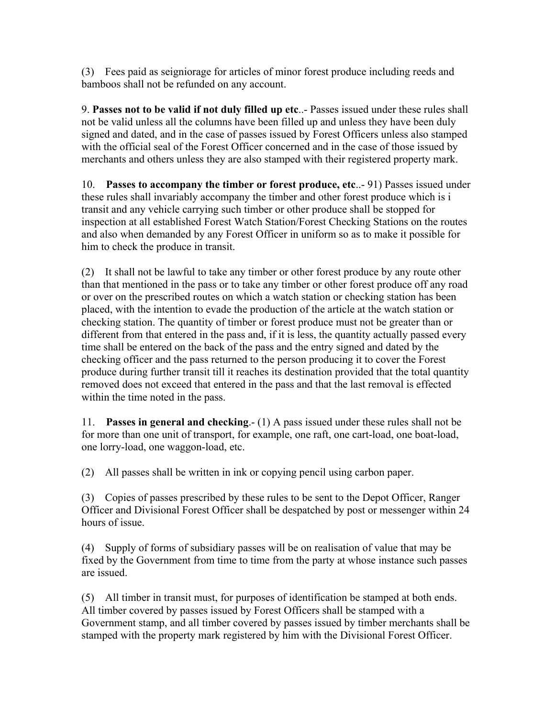(3) Fees paid as seigniorage for articles of minor forest produce including reeds and bamboos shall not be refunded on any account.

9. **Passes not to be valid if not duly filled up etc**..- Passes issued under these rules shall not be valid unless all the columns have been filled up and unless they have been duly signed and dated, and in the case of passes issued by Forest Officers unless also stamped with the official seal of the Forest Officer concerned and in the case of those issued by merchants and others unless they are also stamped with their registered property mark.

10. **Passes to accompany the timber or forest produce, etc**..- 91) Passes issued under these rules shall invariably accompany the timber and other forest produce which is i transit and any vehicle carrying such timber or other produce shall be stopped for inspection at all established Forest Watch Station/Forest Checking Stations on the routes and also when demanded by any Forest Officer in uniform so as to make it possible for him to check the produce in transit.

(2) It shall not be lawful to take any timber or other forest produce by any route other than that mentioned in the pass or to take any timber or other forest produce off any road or over on the prescribed routes on which a watch station or checking station has been placed, with the intention to evade the production of the article at the watch station or checking station. The quantity of timber or forest produce must not be greater than or different from that entered in the pass and, if it is less, the quantity actually passed every time shall be entered on the back of the pass and the entry signed and dated by the checking officer and the pass returned to the person producing it to cover the Forest produce during further transit till it reaches its destination provided that the total quantity removed does not exceed that entered in the pass and that the last removal is effected within the time noted in the pass.

11. **Passes in general and checking**.- (1) A pass issued under these rules shall not be for more than one unit of transport, for example, one raft, one cart-load, one boat-load, one lorry-load, one waggon-load, etc.

(2) All passes shall be written in ink or copying pencil using carbon paper.

(3) Copies of passes prescribed by these rules to be sent to the Depot Officer, Ranger Officer and Divisional Forest Officer shall be despatched by post or messenger within 24 hours of issue.

(4) Supply of forms of subsidiary passes will be on realisation of value that may be fixed by the Government from time to time from the party at whose instance such passes are issued.

(5) All timber in transit must, for purposes of identification be stamped at both ends. All timber covered by passes issued by Forest Officers shall be stamped with a Government stamp, and all timber covered by passes issued by timber merchants shall be stamped with the property mark registered by him with the Divisional Forest Officer.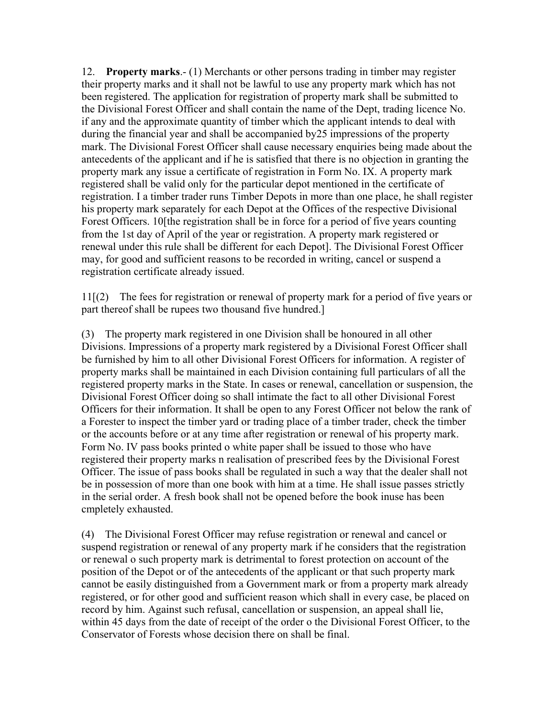12. **Property marks**.- (1) Merchants or other persons trading in timber may register their property marks and it shall not be lawful to use any property mark which has not been registered. The application for registration of property mark shall be submitted to the Divisional Forest Officer and shall contain the name of the Dept, trading licence No. if any and the approximate quantity of timber which the applicant intends to deal with during the financial year and shall be accompanied by25 impressions of the property mark. The Divisional Forest Officer shall cause necessary enquiries being made about the antecedents of the applicant and if he is satisfied that there is no objection in granting the property mark any issue a certificate of registration in Form No. IX. A property mark registered shall be valid only for the particular depot mentioned in the certificate of registration. I a timber trader runs Timber Depots in more than one place, he shall register his property mark separately for each Depot at the Offices of the respective Divisional Forest Officers. 10[the registration shall be in force for a period of five years counting from the 1st day of April of the year or registration. A property mark registered or renewal under this rule shall be different for each Depot]. The Divisional Forest Officer may, for good and sufficient reasons to be recorded in writing, cancel or suspend a registration certificate already issued.

11[(2) The fees for registration or renewal of property mark for a period of five years or part thereof shall be rupees two thousand five hundred.]

(3) The property mark registered in one Division shall be honoured in all other Divisions. Impressions of a property mark registered by a Divisional Forest Officer shall be furnished by him to all other Divisional Forest Officers for information. A register of property marks shall be maintained in each Division containing full particulars of all the registered property marks in the State. In cases or renewal, cancellation or suspension, the Divisional Forest Officer doing so shall intimate the fact to all other Divisional Forest Officers for their information. It shall be open to any Forest Officer not below the rank of a Forester to inspect the timber yard or trading place of a timber trader, check the timber or the accounts before or at any time after registration or renewal of his property mark. Form No. IV pass books printed o white paper shall be issued to those who have registered their property marks n realisation of prescribed fees by the Divisional Forest Officer. The issue of pass books shall be regulated in such a way that the dealer shall not be in possession of more than one book with him at a time. He shall issue passes strictly in the serial order. A fresh book shall not be opened before the book inuse has been cmpletely exhausted.

(4) The Divisional Forest Officer may refuse registration or renewal and cancel or suspend registration or renewal of any property mark if he considers that the registration or renewal o such property mark is detrimental to forest protection on account of the position of the Depot or of the antecedents of the applicant or that such property mark cannot be easily distinguished from a Government mark or from a property mark already registered, or for other good and sufficient reason which shall in every case, be placed on record by him. Against such refusal, cancellation or suspension, an appeal shall lie, within 45 days from the date of receipt of the order o the Divisional Forest Officer, to the Conservator of Forests whose decision there on shall be final.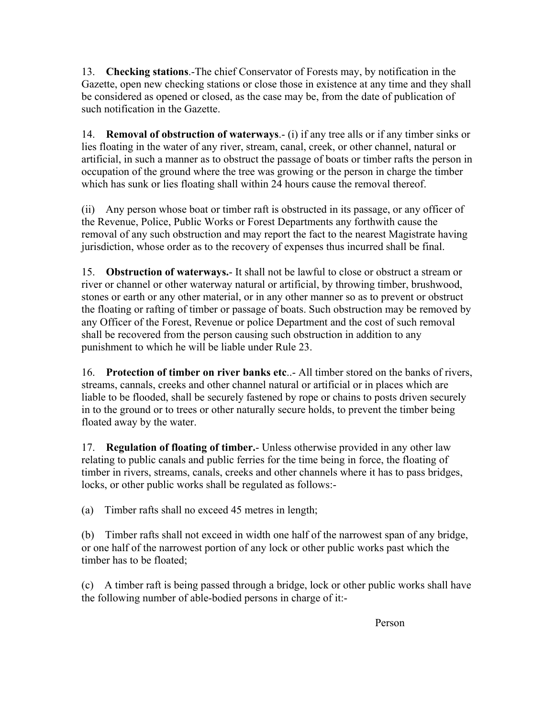13. **Checking stations**.-The chief Conservator of Forests may, by notification in the Gazette, open new checking stations or close those in existence at any time and they shall be considered as opened or closed, as the case may be, from the date of publication of such notification in the Gazette.

14. **Removal of obstruction of waterways**.- (i) if any tree alls or if any timber sinks or lies floating in the water of any river, stream, canal, creek, or other channel, natural or artificial, in such a manner as to obstruct the passage of boats or timber rafts the person in occupation of the ground where the tree was growing or the person in charge the timber which has sunk or lies floating shall within 24 hours cause the removal thereof.

(ii) Any person whose boat or timber raft is obstructed in its passage, or any officer of the Revenue, Police, Public Works or Forest Departments any forthwith cause the removal of any such obstruction and may report the fact to the nearest Magistrate having jurisdiction, whose order as to the recovery of expenses thus incurred shall be final.

15. **Obstruction of waterways.**- It shall not be lawful to close or obstruct a stream or river or channel or other waterway natural or artificial, by throwing timber, brushwood, stones or earth or any other material, or in any other manner so as to prevent or obstruct the floating or rafting of timber or passage of boats. Such obstruction may be removed by any Officer of the Forest, Revenue or police Department and the cost of such removal shall be recovered from the person causing such obstruction in addition to any punishment to which he will be liable under Rule 23.

16. **Protection of timber on river banks etc**..- All timber stored on the banks of rivers, streams, cannals, creeks and other channel natural or artificial or in places which are liable to be flooded, shall be securely fastened by rope or chains to posts driven securely in to the ground or to trees or other naturally secure holds, to prevent the timber being floated away by the water.

17. **Regulation of floating of timber.**- Unless otherwise provided in any other law relating to public canals and public ferries for the time being in force, the floating of timber in rivers, streams, canals, creeks and other channels where it has to pass bridges, locks, or other public works shall be regulated as follows:-

(a) Timber rafts shall no exceed 45 metres in length;

(b) Timber rafts shall not exceed in width one half of the narrowest span of any bridge, or one half of the narrowest portion of any lock or other public works past which the timber has to be floated;

(c) A timber raft is being passed through a bridge, lock or other public works shall have the following number of able-bodied persons in charge of it:-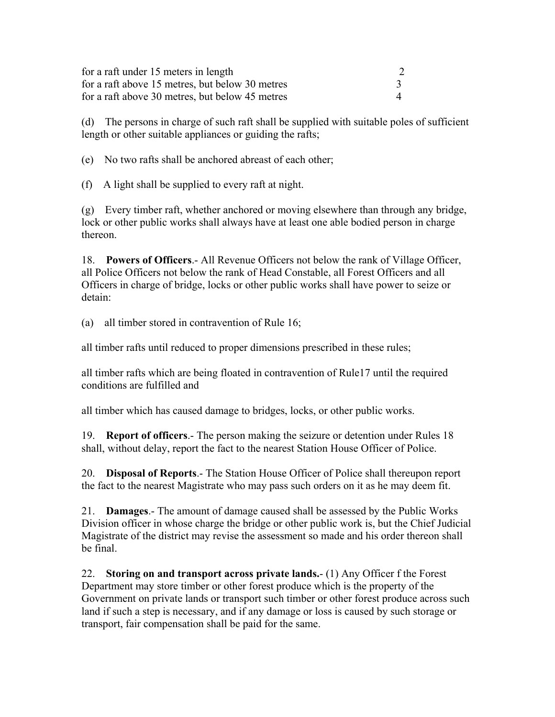| for a raft under 15 meters in length            |  |
|-------------------------------------------------|--|
| for a raft above 15 metres, but below 30 metres |  |
| for a raft above 30 metres, but below 45 metres |  |

(d) The persons in charge of such raft shall be supplied with suitable poles of sufficient length or other suitable appliances or guiding the rafts;

(e) No two rafts shall be anchored abreast of each other;

(f) A light shall be supplied to every raft at night.

(g) Every timber raft, whether anchored or moving elsewhere than through any bridge, lock or other public works shall always have at least one able bodied person in charge thereon.

18. **Powers of Officers**.- All Revenue Officers not below the rank of Village Officer, all Police Officers not below the rank of Head Constable, all Forest Officers and all Officers in charge of bridge, locks or other public works shall have power to seize or detain:

(a) all timber stored in contravention of Rule 16;

all timber rafts until reduced to proper dimensions prescribed in these rules;

all timber rafts which are being floated in contravention of Rule17 until the required conditions are fulfilled and

all timber which has caused damage to bridges, locks, or other public works.

19. **Report of officers**.- The person making the seizure or detention under Rules 18 shall, without delay, report the fact to the nearest Station House Officer of Police.

20. **Disposal of Reports**.- The Station House Officer of Police shall thereupon report the fact to the nearest Magistrate who may pass such orders on it as he may deem fit.

21. **Damages**.- The amount of damage caused shall be assessed by the Public Works Division officer in whose charge the bridge or other public work is, but the Chief Judicial Magistrate of the district may revise the assessment so made and his order thereon shall be final.

22. **Storing on and transport across private lands.**- (1) Any Officer f the Forest Department may store timber or other forest produce which is the property of the Government on private lands or transport such timber or other forest produce across such land if such a step is necessary, and if any damage or loss is caused by such storage or transport, fair compensation shall be paid for the same.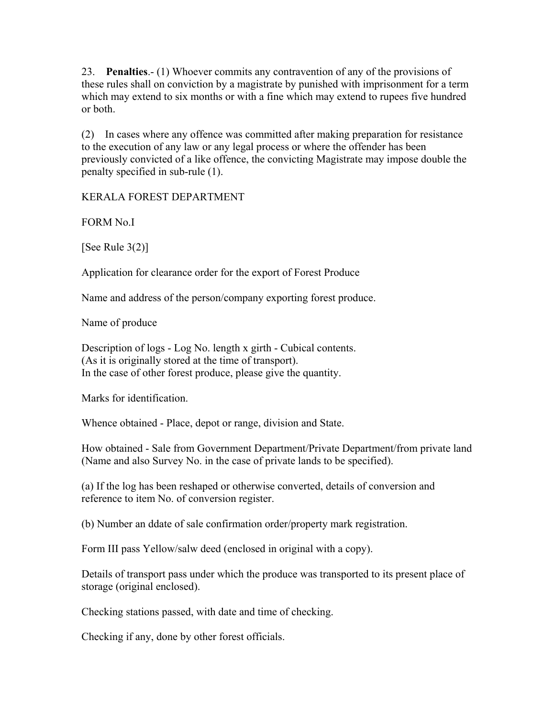23. **Penalties**.- (1) Whoever commits any contravention of any of the provisions of these rules shall on conviction by a magistrate by punished with imprisonment for a term which may extend to six months or with a fine which may extend to rupees five hundred or both.

(2) In cases where any offence was committed after making preparation for resistance to the execution of any law or any legal process or where the offender has been previously convicted of a like offence, the convicting Magistrate may impose double the penalty specified in sub-rule (1).

KERALA FOREST DEPARTMENT

FORM No.I

[See Rule  $3(2)$ ]

Application for clearance order for the export of Forest Produce

Name and address of the person/company exporting forest produce.

Name of produce

Description of logs - Log No. length x girth - Cubical contents. (As it is originally stored at the time of transport). In the case of other forest produce, please give the quantity.

Marks for identification.

Whence obtained - Place, depot or range, division and State.

How obtained - Sale from Government Department/Private Department/from private land (Name and also Survey No. in the case of private lands to be specified).

(a) If the log has been reshaped or otherwise converted, details of conversion and reference to item No. of conversion register.

(b) Number an ddate of sale confirmation order/property mark registration.

Form III pass Yellow/salw deed (enclosed in original with a copy).

Details of transport pass under which the produce was transported to its present place of storage (original enclosed).

Checking stations passed, with date and time of checking.

Checking if any, done by other forest officials.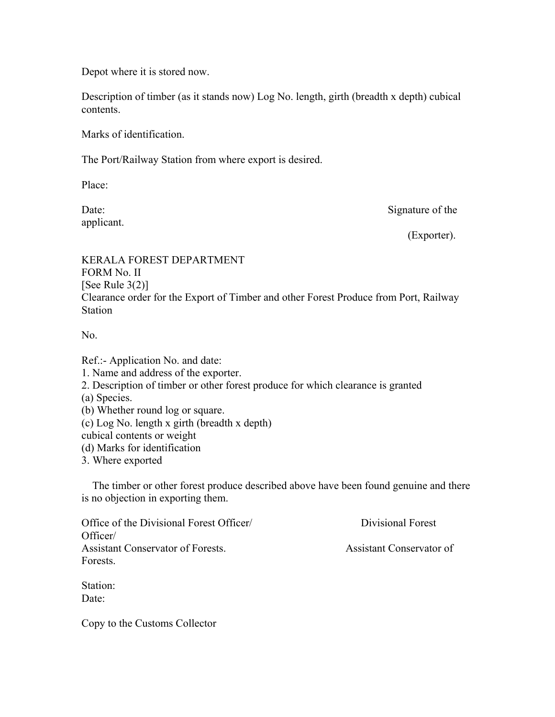Depot where it is stored now.

Description of timber (as it stands now) Log No. length, girth (breadth x depth) cubical contents.

Marks of identification.

The Port/Railway Station from where export is desired.

Place:

applicant.

Date: Signature of the

(Exporter).

KERALA FOREST DEPARTMENT FORM No. II [See Rule  $3(2)$ ] Clearance order for the Export of Timber and other Forest Produce from Port, Railway **Station** 

N<sub>0</sub>

Ref.:- Application No. and date: 1. Name and address of the exporter. 2. Description of timber or other forest produce for which clearance is granted (a) Species. (b) Whether round log or square. (c) Log No. length x girth (breadth x depth) cubical contents or weight (d) Marks for identification 3. Where exported

 The timber or other forest produce described above have been found genuine and there is no objection in exporting them.

| Office of the Divisional Forest Officer/ | Divisional Forest        |
|------------------------------------------|--------------------------|
| Officer/                                 |                          |
| Assistant Conservator of Forests.        | Assistant Conservator of |
| Forests.                                 |                          |
|                                          |                          |

Station: Date:

Copy to the Customs Collector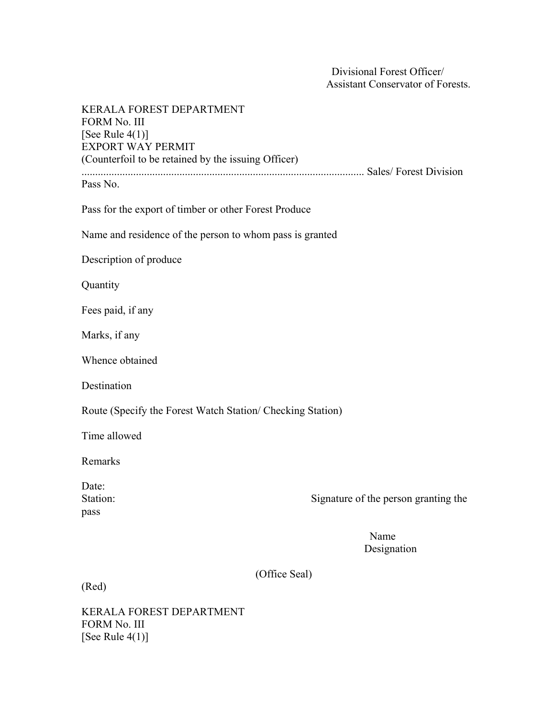Divisional Forest Officer/ Assistant Conservator of Forests.

| KERALA FOREST DEPARTMENT<br><b>FORM No. III</b><br>[See Rule $4(1)$ ]<br><b>EXPORT WAY PERMIT</b><br>(Counterfoil to be retained by the issuing Officer) |                                      |
|----------------------------------------------------------------------------------------------------------------------------------------------------------|--------------------------------------|
| Pass No.                                                                                                                                                 |                                      |
| Pass for the export of timber or other Forest Produce                                                                                                    |                                      |
| Name and residence of the person to whom pass is granted                                                                                                 |                                      |
| Description of produce                                                                                                                                   |                                      |
| Quantity                                                                                                                                                 |                                      |
| Fees paid, if any                                                                                                                                        |                                      |
| Marks, if any                                                                                                                                            |                                      |
| Whence obtained                                                                                                                                          |                                      |
| Destination                                                                                                                                              |                                      |
| Route (Specify the Forest Watch Station/ Checking Station)                                                                                               |                                      |
| Time allowed                                                                                                                                             |                                      |
| Remarks                                                                                                                                                  |                                      |
| Date:<br>Station:<br>pass                                                                                                                                | Signature of the person granting the |
|                                                                                                                                                          | Name<br>Designation                  |
| (Office Seal)<br>(Red)                                                                                                                                   |                                      |
|                                                                                                                                                          |                                      |

KERALA FOREST DEPARTMENT FORM No. III [See Rule 4(1)]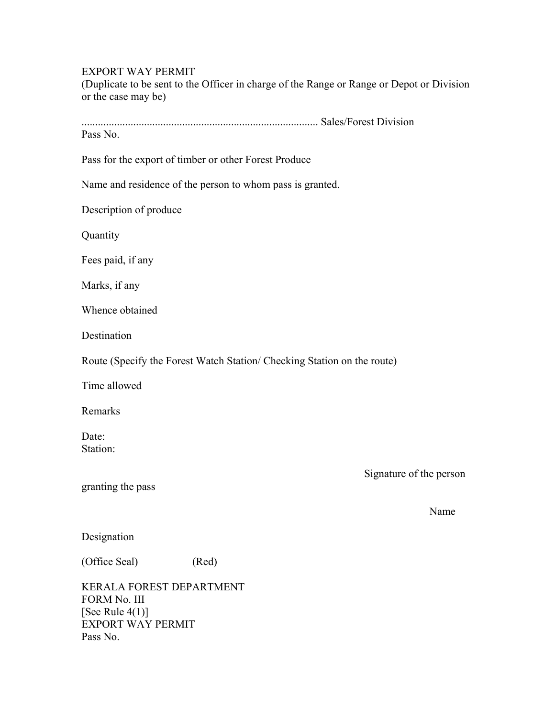#### EXPORT WAY PERMIT

(Duplicate to be sent to the Officer in charge of the Range or Range or Depot or Division or the case may be)

....................................................................................... Sales/Forest Division

Pass No.

Pass for the export of timber or other Forest Produce

Name and residence of the person to whom pass is granted.

Description of produce

**Quantity** 

Fees paid, if any

Marks, if any

Whence obtained

Destination

Route (Specify the Forest Watch Station/ Checking Station on the route)

Time allowed

Remarks

Date: Station:

granting the pass

Signature of the person

Name Name

Designation

(Office Seal) (Red)

KERALA FOREST DEPARTMENT FORM No. III [See Rule  $4(1)$ ] EXPORT WAY PERMIT Pass No.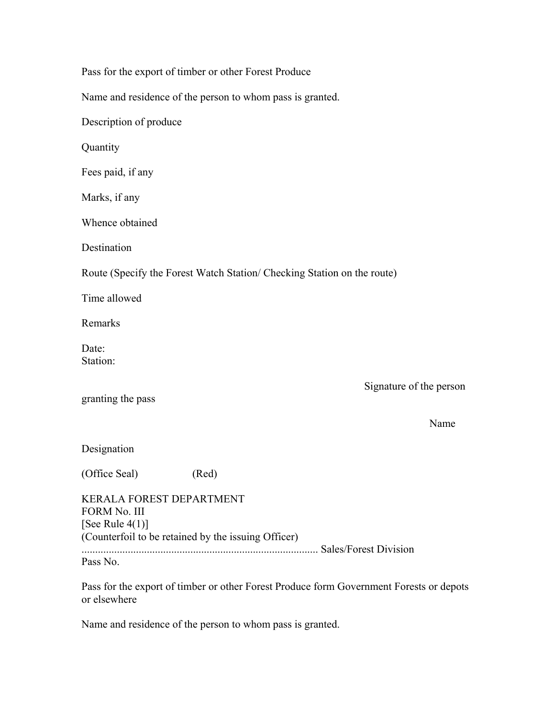| Pass for the export of timber or other Forest Produce                                                                 |       |                                                                                         |
|-----------------------------------------------------------------------------------------------------------------------|-------|-----------------------------------------------------------------------------------------|
|                                                                                                                       |       | Name and residence of the person to whom pass is granted.                               |
| Description of produce                                                                                                |       |                                                                                         |
| Quantity                                                                                                              |       |                                                                                         |
| Fees paid, if any                                                                                                     |       |                                                                                         |
| Marks, if any                                                                                                         |       |                                                                                         |
| Whence obtained                                                                                                       |       |                                                                                         |
| Destination                                                                                                           |       |                                                                                         |
|                                                                                                                       |       | Route (Specify the Forest Watch Station/ Checking Station on the route)                 |
| Time allowed                                                                                                          |       |                                                                                         |
| Remarks                                                                                                               |       |                                                                                         |
| Date:<br>Station:                                                                                                     |       |                                                                                         |
| granting the pass                                                                                                     |       | Signature of the person<br>Name                                                         |
|                                                                                                                       |       |                                                                                         |
| Designation                                                                                                           |       |                                                                                         |
| (Office Seal)                                                                                                         | (Red) |                                                                                         |
| KERALA FOREST DEPARTMENT<br>FORM No. III<br>[See Rule $4(1)$ ]<br>(Counterfoil to be retained by the issuing Officer) |       |                                                                                         |
| Pass No.                                                                                                              |       |                                                                                         |
|                                                                                                                       |       | Pass for the export of timber or other Forest Produce form Government Forests or depots |

or elsewhere

Name and residence of the person to whom pass is granted.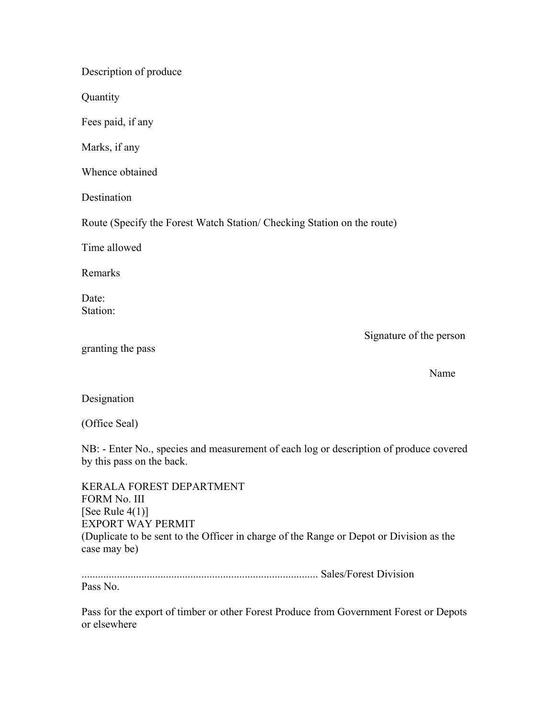Description of produce

**Quantity** 

Fees paid, if any

Marks, if any

Whence obtained

Destination

Route (Specify the Forest Watch Station/ Checking Station on the route)

Time allowed

Remarks

Date: Station:

Signature of the person

| granting the pass |  |
|-------------------|--|
|                   |  |

Name Name

Designation

(Office Seal)

NB: - Enter No., species and measurement of each log or description of produce covered by this pass on the back.

| KERALA FOREST DEPARTMENT                                                                                |
|---------------------------------------------------------------------------------------------------------|
| FORM No. III                                                                                            |
| [See Rule $4(1)$ ]                                                                                      |
| EXPORT WAY PERMIT                                                                                       |
| (Duplicate to be sent to the Officer in charge of the Range or Depot or Division as the<br>case may be) |

....................................................................................... Sales/Forest Division Pass No.

Pass for the export of timber or other Forest Produce from Government Forest or Depots or elsewhere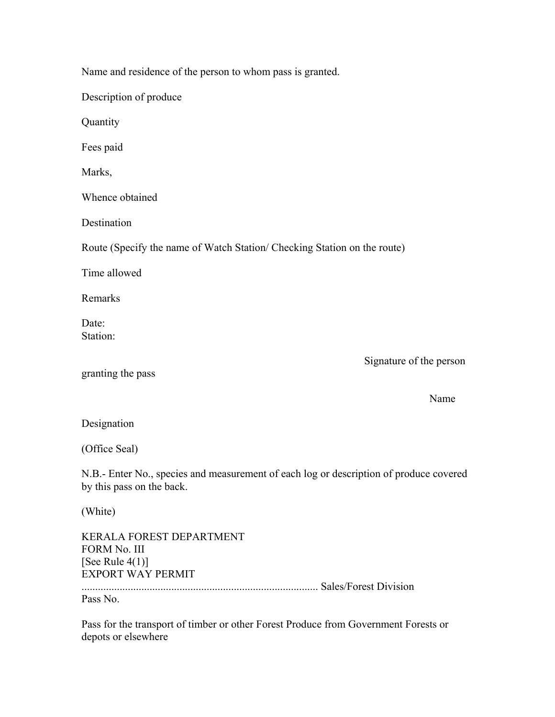| Name and residence of the person to whom pass is granted.                |                         |
|--------------------------------------------------------------------------|-------------------------|
| Description of produce                                                   |                         |
| Quantity                                                                 |                         |
| Fees paid                                                                |                         |
| Marks,                                                                   |                         |
| Whence obtained                                                          |                         |
| Destination                                                              |                         |
| Route (Specify the name of Watch Station/ Checking Station on the route) |                         |
| Time allowed                                                             |                         |
| Remarks                                                                  |                         |
| Date:<br>Station:                                                        |                         |
| granting the pass                                                        | Signature of the person |

Name Name

#### Designation

(Office Seal)

N.B.- Enter No., species and measurement of each log or description of produce covered by this pass on the back.

(White)

KERALA FOREST DEPARTMENT FORM No. III [See Rule  $4(1)$ ] EXPORT WAY PERMIT

....................................................................................... Sales/Forest Division

Pass No.

Pass for the transport of timber or other Forest Produce from Government Forests or depots or elsewhere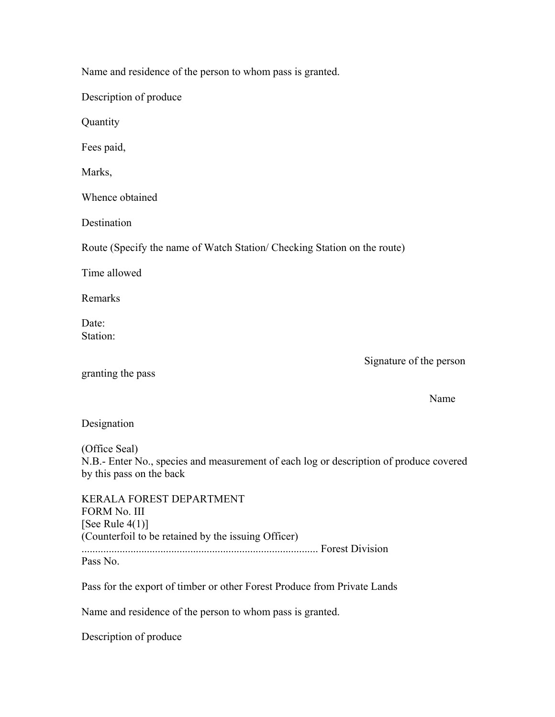Name and residence of the person to whom pass is granted.

Description of produce

Quantity

Fees paid,

Marks,

Whence obtained

**Destination** 

Route (Specify the name of Watch Station/ Checking Station on the route)

Time allowed

Remarks

Date<sup>-</sup> Station:

Signature of the person

granting the pass

Name Name

Designation

(Office Seal)

N.B.- Enter No., species and measurement of each log or description of produce covered by this pass on the back

KERALA FOREST DEPARTMENT FORM No. III [See Rule  $4(1)$ ] (Counterfoil to be retained by the issuing Officer) ....................................................................................... Forest Division Pass No.

Pass for the export of timber or other Forest Produce from Private Lands

Name and residence of the person to whom pass is granted.

Description of produce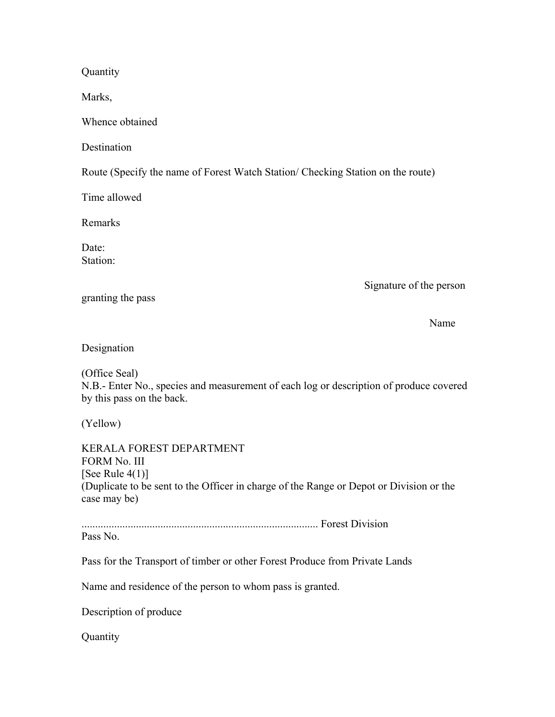**Quantity** 

Marks,

Whence obtained

**Destination** 

Route (Specify the name of Forest Watch Station/ Checking Station on the route)

Time allowed

Remarks

Date: Station:

Signature of the person

granting the pass

Name Name

Designation

(Office Seal) N.B.- Enter No., species and measurement of each log or description of produce covered by this pass on the back.

(Yellow)

KERALA FOREST DEPARTMENT FORM No. III [See Rule  $4(1)$ ] (Duplicate to be sent to the Officer in charge of the Range or Depot or Division or the case may be)

....................................................................................... Forest Division

Pass No.

Pass for the Transport of timber or other Forest Produce from Private Lands

Name and residence of the person to whom pass is granted.

Description of produce

**Quantity**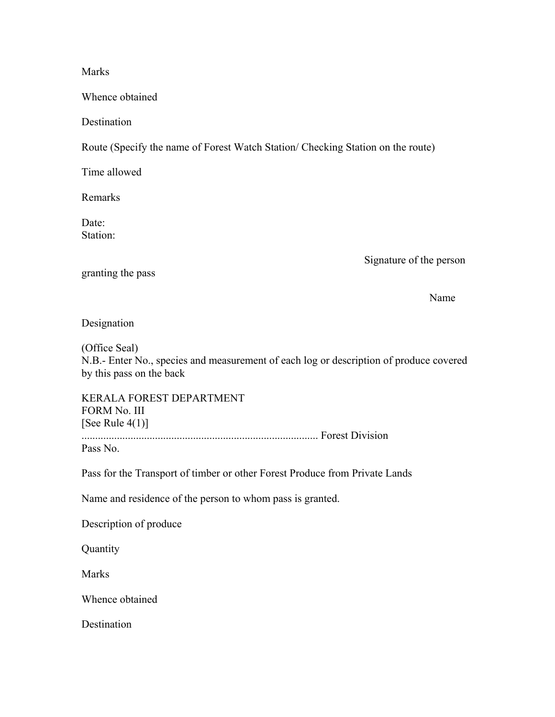#### Marks

Whence obtained

**Destination** 

Route (Specify the name of Forest Watch Station/ Checking Station on the route)

Time allowed

Remarks

Date<sup>-</sup> Station:

Signature of the person

granting the pass

Name Name

Designation

(Office Seal) N.B.- Enter No., species and measurement of each log or description of produce covered by this pass on the back

KERALA FOREST DEPARTMENT FORM No. III [See Rule  $4(1)$ ] ....................................................................................... Forest Division

Pass No.

Pass for the Transport of timber or other Forest Produce from Private Lands

Name and residence of the person to whom pass is granted.

Description of produce

Quantity

Marks

Whence obtained

**Destination**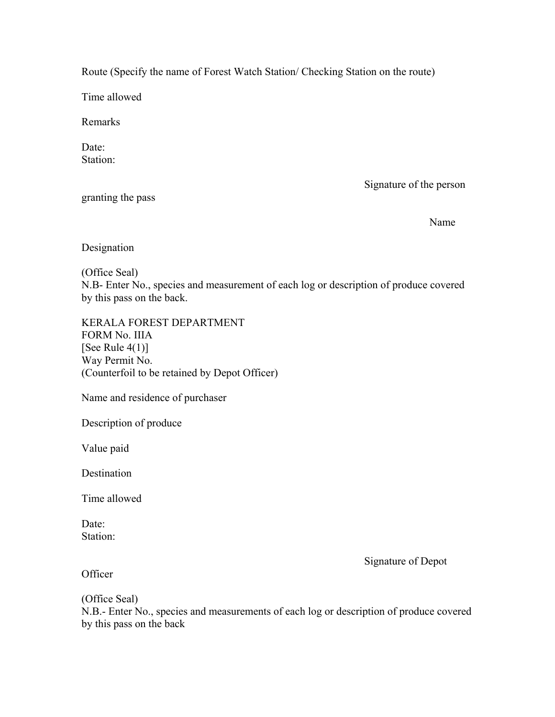Route (Specify the name of Forest Watch Station/ Checking Station on the route)

Time allowed

Remarks

Date<sup>-</sup> Station:

granting the pass

Signature of the person

Name Name

Designation

(Office Seal) N.B- Enter No., species and measurement of each log or description of produce covered by this pass on the back.

KERALA FOREST DEPARTMENT FORM No. IIIA [See Rule  $4(1)$ ] Way Permit No. (Counterfoil to be retained by Depot Officer)

Name and residence of purchaser

Description of produce

Value paid

**Destination** 

Time allowed

Date: Station:

Signature of Depot

**Officer** 

(Office Seal)

N.B.- Enter No., species and measurements of each log or description of produce covered by this pass on the back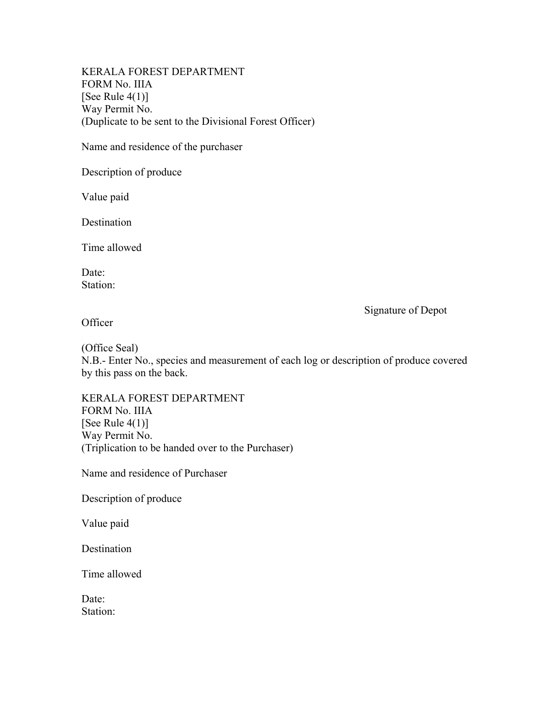KERALA FOREST DEPARTMENT FORM No. IIIA [See Rule  $4(1)$ ] Way Permit No. (Duplicate to be sent to the Divisional Forest Officer)

Name and residence of the purchaser

Description of produce

Value paid

Destination

Time allowed

Date: Station:

Signature of Depot

**Officer** 

(Office Seal)

N.B.- Enter No., species and measurement of each log or description of produce covered by this pass on the back.

KERALA FOREST DEPARTMENT FORM No. IIIA [See Rule  $4(1)$ ] Way Permit No. (Triplication to be handed over to the Purchaser)

Name and residence of Purchaser

Description of produce

Value paid

Destination

Time allowed

Date: Station: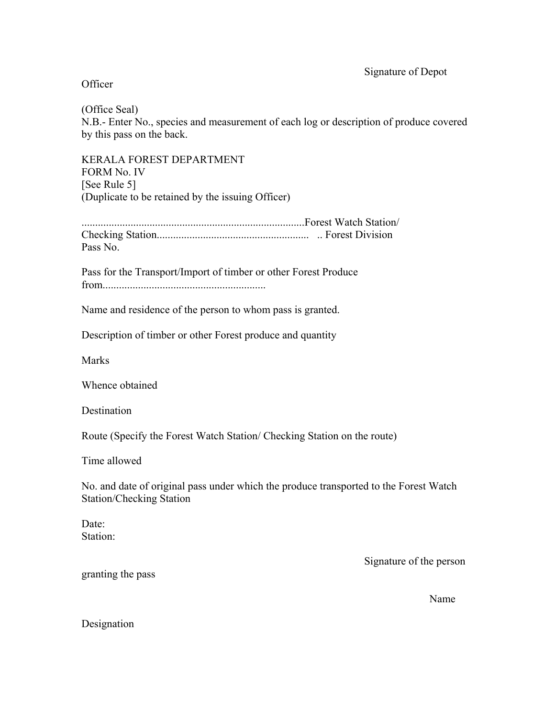# Officer

(Office Seal)

N.B.- Enter No., species and measurement of each log or description of produce covered by this pass on the back.

KERALA FOREST DEPARTMENT FORM No. IV [See Rule 5] (Duplicate to be retained by the issuing Officer)

..................................................................................Forest Watch Station/ Checking Station........................................................ .. Forest Division Pass No.

Pass for the Transport/Import of timber or other Forest Produce from............................................................

Name and residence of the person to whom pass is granted.

Description of timber or other Forest produce and quantity

**Marks** 

Whence obtained

Destination

Route (Specify the Forest Watch Station/ Checking Station on the route)

Time allowed

No. and date of original pass under which the produce transported to the Forest Watch Station/Checking Station

Date: Station:

Signature of the person

granting the pass

Name Name

Designation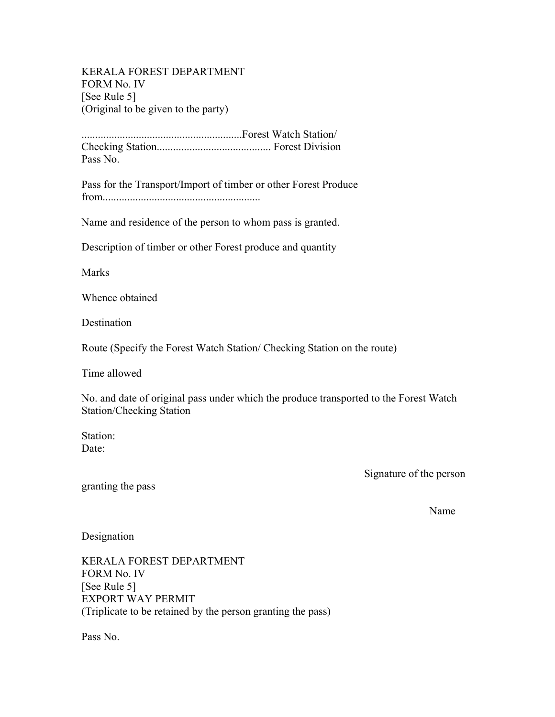KERALA FOREST DEPARTMENT FORM No. IV [See Rule 5] (Original to be given to the party)

...........................................................Forest Watch Station/ Checking Station.......................................... Forest Division Pass No.

Pass for the Transport/Import of timber or other Forest Produce from..........................................................

Name and residence of the person to whom pass is granted.

Description of timber or other Forest produce and quantity

**Marks** 

Whence obtained

**Destination** 

Route (Specify the Forest Watch Station/ Checking Station on the route)

Time allowed

No. and date of original pass under which the produce transported to the Forest Watch Station/Checking Station

Station: Date:

Signature of the person

granting the pass

Name Name

Designation

KERALA FOREST DEPARTMENT FORM No. IV [See Rule 5] EXPORT WAY PERMIT (Triplicate to be retained by the person granting the pass)

Pass No.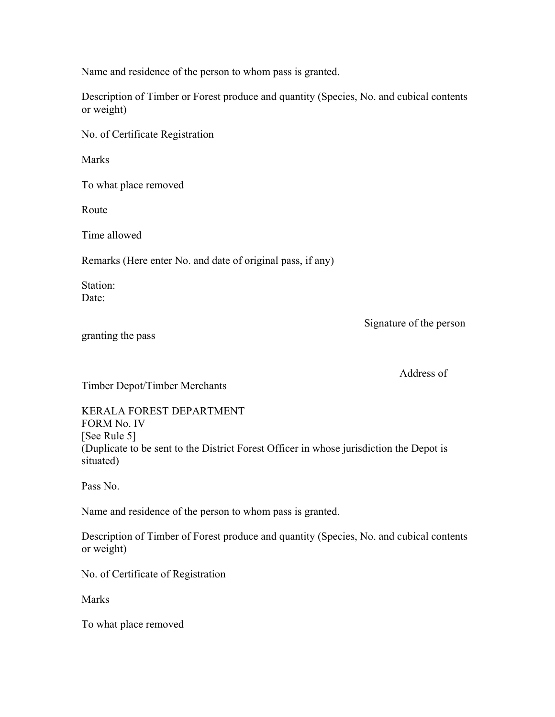Name and residence of the person to whom pass is granted.

Description of Timber or Forest produce and quantity (Species, No. and cubical contents or weight)

No. of Certificate Registration

Marks

To what place removed

Route

Time allowed

Remarks (Here enter No. and date of original pass, if any)

Station: Date:

Signature of the person

granting the pass

Address of

Timber Depot/Timber Merchants

KERALA FOREST DEPARTMENT FORM No. IV [See Rule 5] (Duplicate to be sent to the District Forest Officer in whose jurisdiction the Depot is situated)

Pass No.

Name and residence of the person to whom pass is granted.

Description of Timber of Forest produce and quantity (Species, No. and cubical contents or weight)

No. of Certificate of Registration

Marks

To what place removed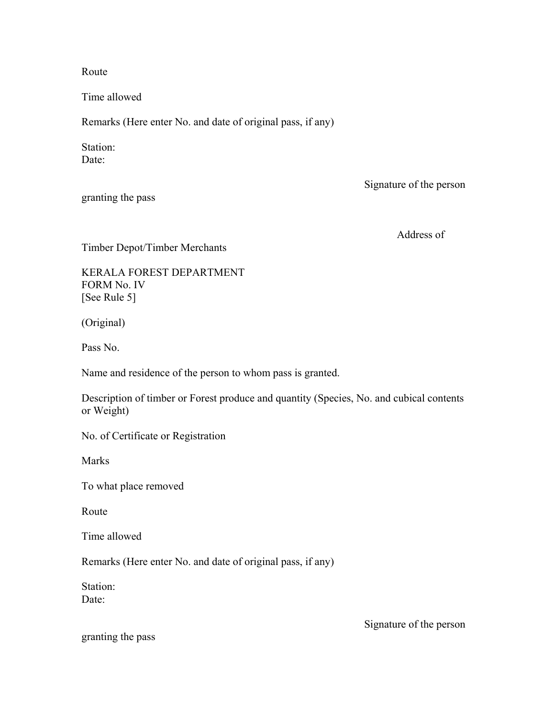Route

Time allowed

Remarks (Here enter No. and date of original pass, if any)

Station: Date:

granting the pass

Signature of the person

Address of

Timber Depot/Timber Merchants

KERALA FOREST DEPARTMENT FORM No. IV [See Rule 5]

(Original)

Pass No.

Name and residence of the person to whom pass is granted.

Description of timber or Forest produce and quantity (Species, No. and cubical contents or Weight)

No. of Certificate or Registration

Marks

To what place removed

Route

Time allowed

Remarks (Here enter No. and date of original pass, if any)

Station:

Date:

Signature of the person

granting the pass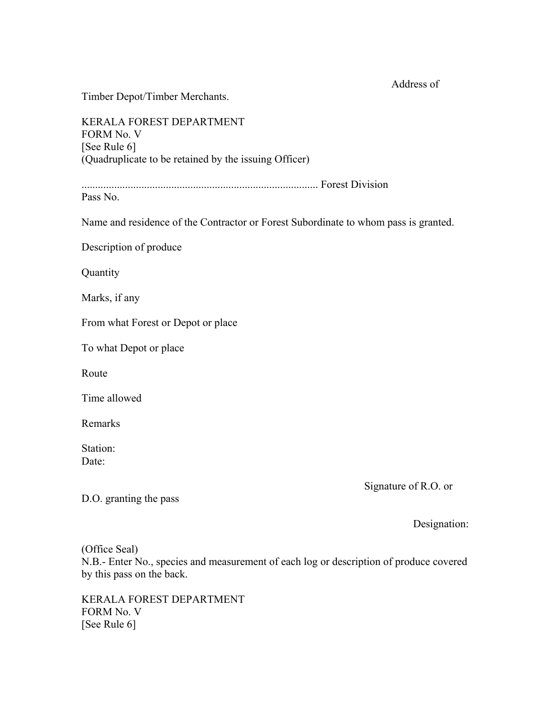Address of

Timber Depot/Timber Merchants.

KERALA FOREST DEPARTMENT FORM No. V [See Rule 6] (Quadruplicate to be retained by the issuing Officer)

....................................................................................... Forest Division

Pass No.

Name and residence of the Contractor or Forest Subordinate to whom pass is granted.

Description of produce

**Quantity** 

Marks, if any

From what Forest or Depot or place

To what Depot or place

Route

Time allowed

Remarks

Station: Date:

Signature of R.O. or

D.O. granting the pass

Designation:

(Office Seal)

N.B.- Enter No., species and measurement of each log or description of produce covered by this pass on the back.

KERALA FOREST DEPARTMENT FORM No. V [See Rule 6]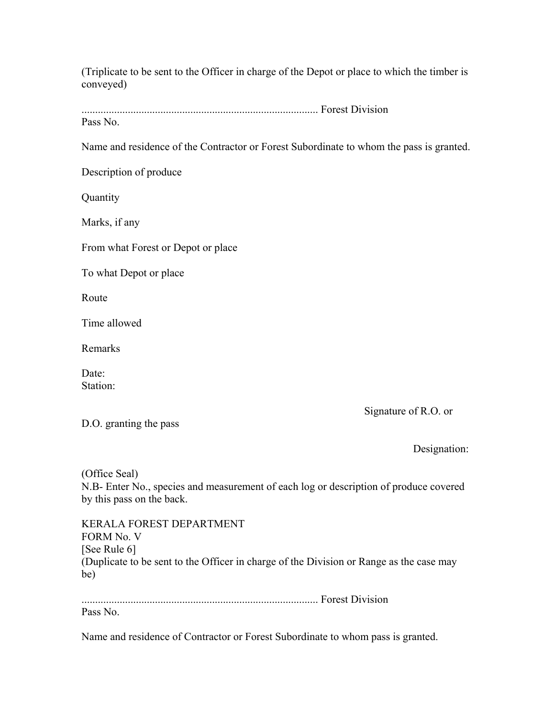(Triplicate to be sent to the Officer in charge of the Depot or place to which the timber is conveyed)

....................................................................................... Forest Division Pass No.

Name and residence of the Contractor or Forest Subordinate to whom the pass is granted.

Description of produce

Quantity

Marks, if any

From what Forest or Depot or place

To what Depot or place

Route

Time allowed

Remarks

Date<sup>-</sup> Station:

Signature of R.O. or

D.O. granting the pass

Designation:

(Office Seal) N.B- Enter No., species and measurement of each log or description of produce covered by this pass on the back.

KERALA FOREST DEPARTMENT FORM No. V [See Rule 6] (Duplicate to be sent to the Officer in charge of the Division or Range as the case may be)

....................................................................................... Forest Division

Pass No.

Name and residence of Contractor or Forest Subordinate to whom pass is granted.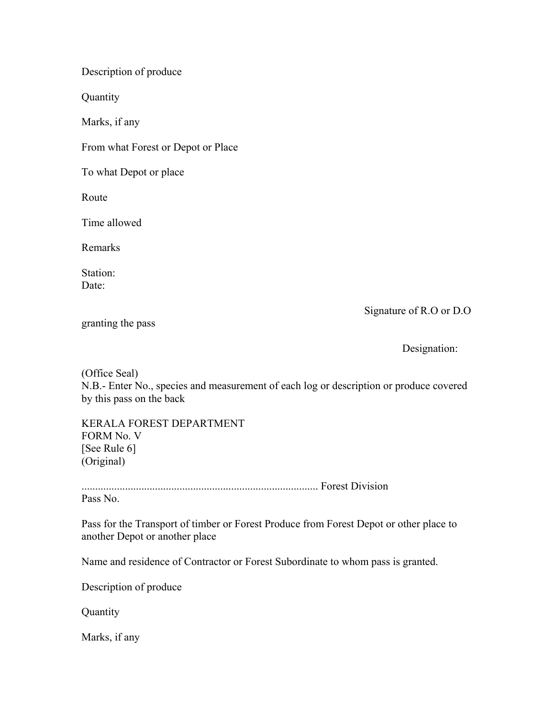Description of produce

**Quantity** 

Marks, if any

From what Forest or Depot or Place

To what Depot or place

Route

Time allowed

Remarks

Station: Date:

Signature of R.O or D.O

granting the pass

Designation:

(Office Seal) N.B.- Enter No., species and measurement of each log or description or produce covered by this pass on the back

KERALA FOREST DEPARTMENT FORM No. V [See Rule 6] (Original)

....................................................................................... Forest Division Pass No.

Pass for the Transport of timber or Forest Produce from Forest Depot or other place to another Depot or another place

Name and residence of Contractor or Forest Subordinate to whom pass is granted.

Description of produce

**Quantity** 

Marks, if any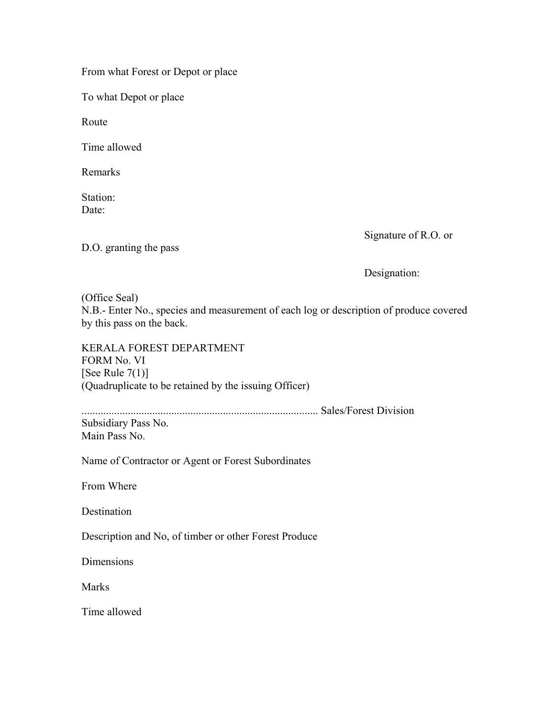From what Forest or Depot or place

To what Depot or place

Route

Time allowed

Remarks

Station: Date:

Signature of R.O. or

D.O. granting the pass

Designation:

(Office Seal) N.B.- Enter No., species and measurement of each log or description of produce covered by this pass on the back.

KERALA FOREST DEPARTMENT FORM No. VI [See Rule  $7(1)$ ] (Quadruplicate to be retained by the issuing Officer)

....................................................................................... Sales/Forest Division

Subsidiary Pass No. Main Pass No.

Name of Contractor or Agent or Forest Subordinates

From Where

Destination

Description and No, of timber or other Forest Produce

**Dimensions** 

**Marks** 

Time allowed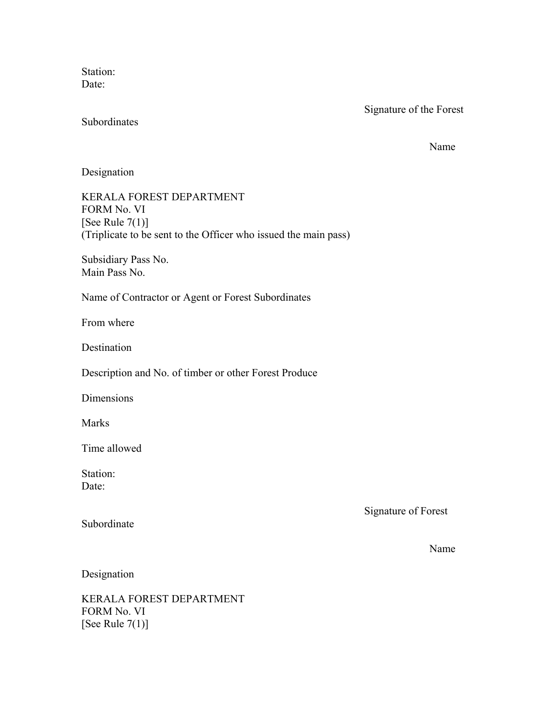Station: Date:

Signature of the Forest

Subordinates

Name Name

Designation

KERALA FOREST DEPARTMENT FORM No. VI [See Rule  $7(1)$ ] (Triplicate to be sent to the Officer who issued the main pass)

Subsidiary Pass No. Main Pass No.

Name of Contractor or Agent or Forest Subordinates

From where

**Destination** 

Description and No. of timber or other Forest Produce

Dimensions

Marks

Time allowed

Station: Date:

Signature of Forest

Subordinate

Name Name

Designation

KERALA FOREST DEPARTMENT FORM No. VI [See Rule 7(1)]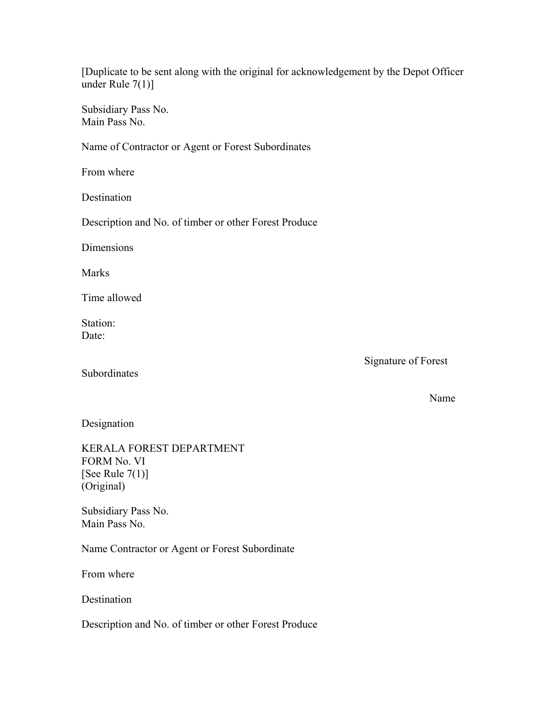[Duplicate to be sent along with the original for acknowledgement by the Depot Officer under Rule 7(1)]

Subsidiary Pass No. Main Pass No.

Name of Contractor or Agent or Forest Subordinates

From where

Destination

Description and No. of timber or other Forest Produce

Dimensions

Marks

Time allowed

Station: Date:

Subordinates

Signature of Forest

Name Name

Designation

KERALA FOREST DEPARTMENT FORM No. VI [See Rule  $7(1)$ ] (Original)

Subsidiary Pass No. Main Pass No.

Name Contractor or Agent or Forest Subordinate

From where

Destination

Description and No. of timber or other Forest Produce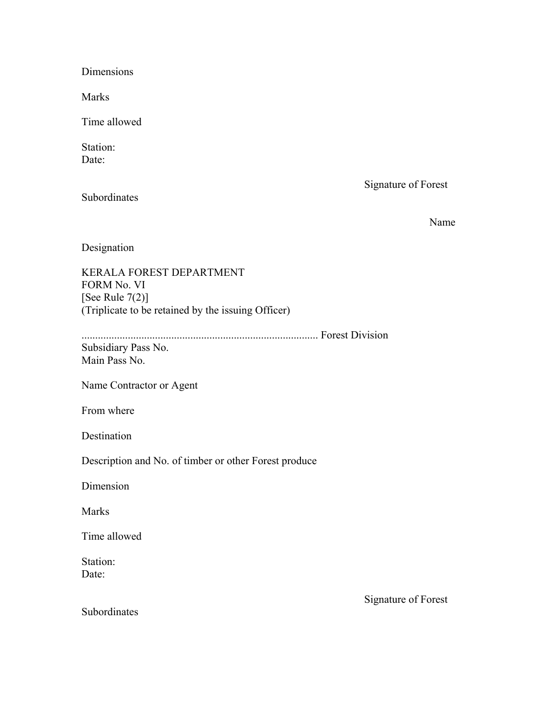Dimensions

Marks

Time allowed

Station: Date:

Signature of Forest

Subordinates

Name Name

Designation

KERALA FOREST DEPARTMENT FORM No. VI [See Rule  $7(2)$ ] (Triplicate to be retained by the issuing Officer)

....................................................................................... Forest Division

Subsidiary Pass No. Main Pass No.

Name Contractor or Agent

From where

Destination

Description and No. of timber or other Forest produce

Dimension

Marks

Time allowed

Station: Date:

Subordinates

Signature of Forest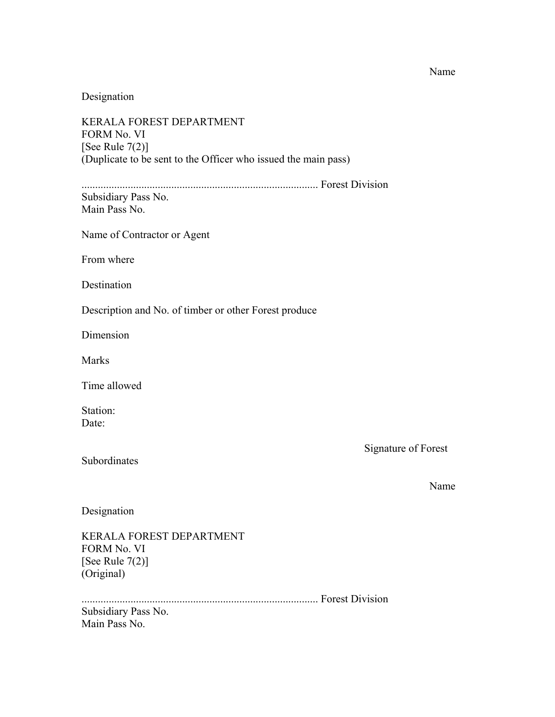#### Name Name

Designation

KERALA FOREST DEPARTMENT FORM No. VI [See Rule 7(2)] (Duplicate to be sent to the Officer who issued the main pass) ....................................................................................... Forest Division Subsidiary Pass No. Main Pass No. Name of Contractor or Agent From where Destination Description and No. of timber or other Forest produce Dimension Marks Time allowed

Station: Date:

Signature of Forest

Subordinates

Name Name

Designation

KERALA FOREST DEPARTMENT FORM No. VI [See Rule 7(2)] (Original)

....................................................................................... Forest Division

Subsidiary Pass No. Main Pass No.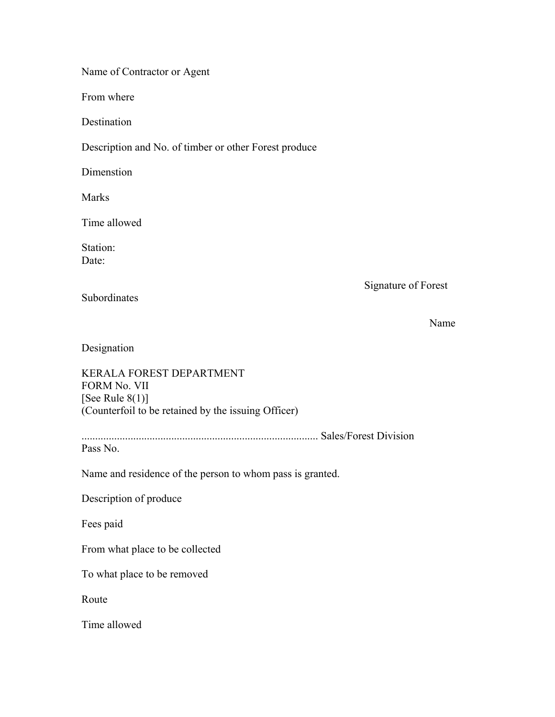Name of Contractor or Agent

From where

**Destination** 

Description and No. of timber or other Forest produce

**Dimenstion** 

Marks

Time allowed

Station: Date:

Signature of Forest

Subordinates

Name Name

Designation

KERALA FOREST DEPARTMENT FORM No. VII [See Rule  $8(1)$ ] (Counterfoil to be retained by the issuing Officer)

....................................................................................... Sales/Forest Division

Pass No.

Name and residence of the person to whom pass is granted.

Description of produce

Fees paid

From what place to be collected

To what place to be removed

Route

Time allowed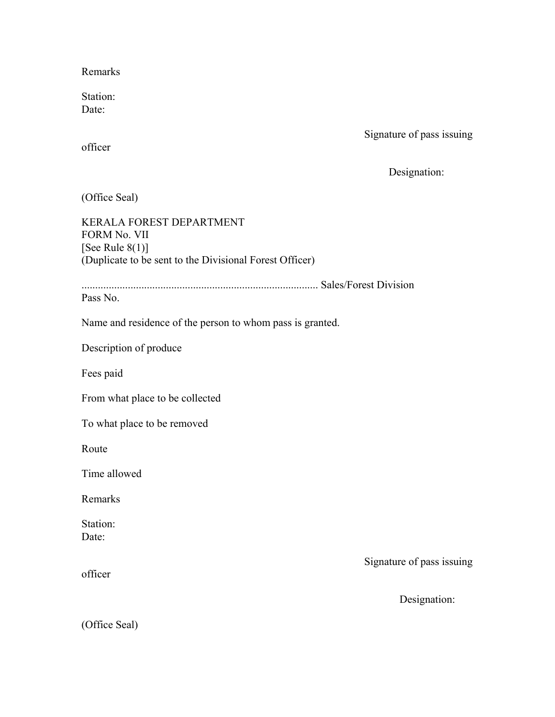Remarks

Station: Date:

Signature of pass issuing

officer

Designation:

(Office Seal)

KERALA FOREST DEPARTMENT FORM No. VII [See Rule  $8(1)$ ] (Duplicate to be sent to the Divisional Forest Officer)

....................................................................................... Sales/Forest Division

Pass No.

Name and residence of the person to whom pass is granted.

Description of produce

Fees paid

From what place to be collected

To what place to be removed

Route

Time allowed

Remarks

Station: Date:

Signature of pass issuing

Designation:

officer

(Office Seal)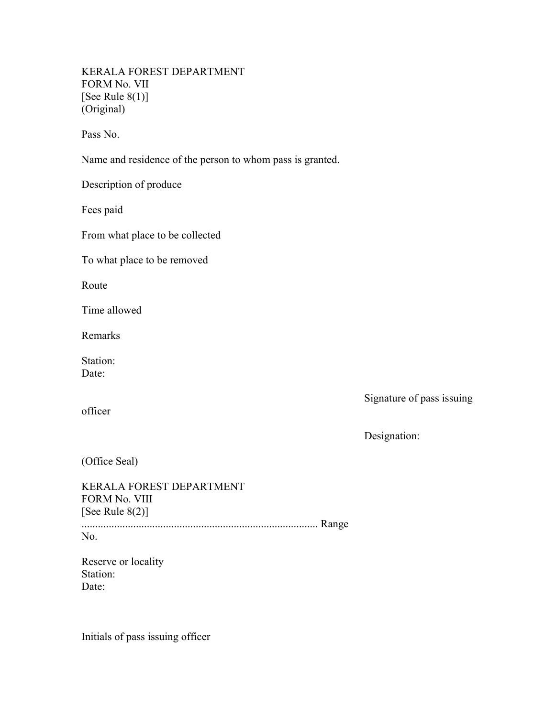KERALA FOREST DEPARTMENT FORM No. VII [See Rule  $8(1)$ ] (Original)

Pass No.

Name and residence of the person to whom pass is granted.

Description of produce

Fees paid

From what place to be collected

To what place to be removed

Route

Time allowed

Remarks

Station: Date:

Signature of pass issuing

officer

Designation:

(Office Seal)

KERALA FOREST DEPARTMENT FORM No. VIII [See Rule 8(2)] ....................................................................................... Range No.

Reserve or locality Station: Date:

Initials of pass issuing officer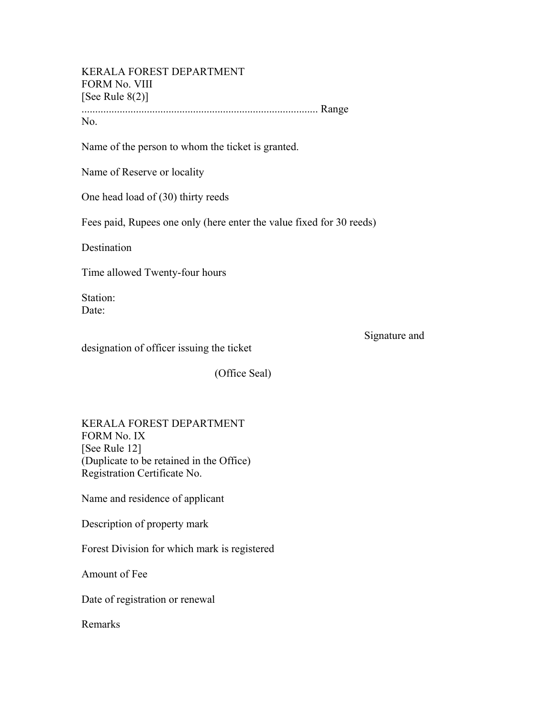#### KERALA FOREST DEPARTMENT FORM No. VIII [See Rule  $8(2)$ ]

....................................................................................... Range No.

Name of the person to whom the ticket is granted.

Name of Reserve or locality

One head load of (30) thirty reeds

Fees paid, Rupees one only (here enter the value fixed for 30 reeds)

Destination

Time allowed Twenty-four hours

Station: Date:

Signature and

designation of officer issuing the ticket

(Office Seal)

KERALA FOREST DEPARTMENT FORM No. IX [See Rule 12] (Duplicate to be retained in the Office) Registration Certificate No.

Name and residence of applicant

Description of property mark

Forest Division for which mark is registered

Amount of Fee

Date of registration or renewal

Remarks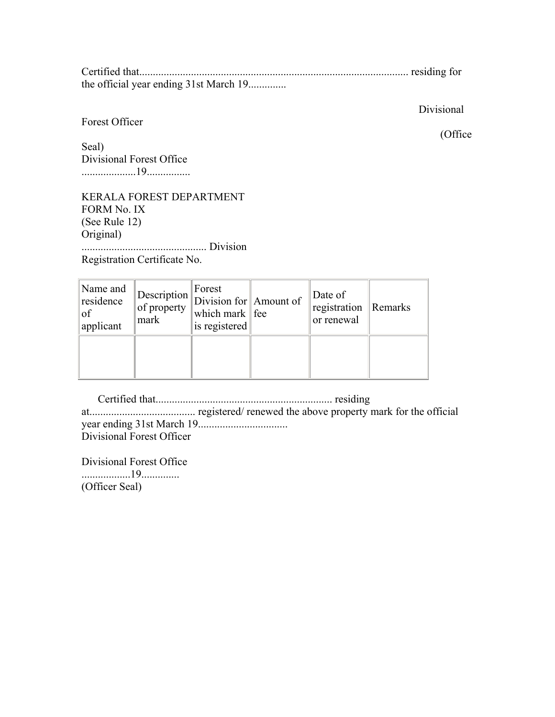Certified that................................................................................................... residing for the official year ending 31st March 19..............

Forest Officer

Divisional

Seal) Divisional Forest Office ....................19................

KERALA FOREST DEPARTMENT FORM No. IX (See Rule 12) Original) .............................................. Division

Registration Certificate No.

| Name and<br>residence<br>of<br>applicant | of property<br>mark | Forest<br>$\parallel$ Description $\parallel$ Division for Amount of<br>which mark $\ \text{fee}\ $<br>is registered | Date of<br>registration<br>or renewal | $\mathbb{R}$ Remarks |
|------------------------------------------|---------------------|----------------------------------------------------------------------------------------------------------------------|---------------------------------------|----------------------|
|                                          |                     |                                                                                                                      |                                       |                      |

 Certified that................................................................. residing at....................................... registered/ renewed the above property mark for the official year ending 31st March 19................................. Divisional Forest Officer

Divisional Forest Office ..................19.............. (Officer Seal)

(Office